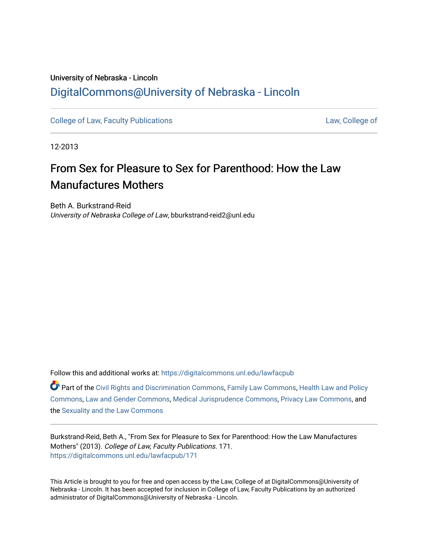# University of Nebraska - Lincoln [DigitalCommons@University of Nebraska - Lincoln](https://digitalcommons.unl.edu/)

[College of Law, Faculty Publications](https://digitalcommons.unl.edu/lawfacpub) [Law, College of](https://digitalcommons.unl.edu/law) Law, College of

12-2013

# From Sex for Pleasure to Sex for Parenthood: How the Law Manufactures Mothers

Beth A. Burkstrand-Reid University of Nebraska College of Law, bburkstrand-reid2@unl.edu

Follow this and additional works at: [https://digitalcommons.unl.edu/lawfacpub](https://digitalcommons.unl.edu/lawfacpub?utm_source=digitalcommons.unl.edu%2Flawfacpub%2F171&utm_medium=PDF&utm_campaign=PDFCoverPages) 

Part of the [Civil Rights and Discrimination Commons,](http://network.bepress.com/hgg/discipline/585?utm_source=digitalcommons.unl.edu%2Flawfacpub%2F171&utm_medium=PDF&utm_campaign=PDFCoverPages) [Family Law Commons,](http://network.bepress.com/hgg/discipline/602?utm_source=digitalcommons.unl.edu%2Flawfacpub%2F171&utm_medium=PDF&utm_campaign=PDFCoverPages) [Health Law and Policy](http://network.bepress.com/hgg/discipline/901?utm_source=digitalcommons.unl.edu%2Flawfacpub%2F171&utm_medium=PDF&utm_campaign=PDFCoverPages) [Commons](http://network.bepress.com/hgg/discipline/901?utm_source=digitalcommons.unl.edu%2Flawfacpub%2F171&utm_medium=PDF&utm_campaign=PDFCoverPages), [Law and Gender Commons,](http://network.bepress.com/hgg/discipline/1298?utm_source=digitalcommons.unl.edu%2Flawfacpub%2F171&utm_medium=PDF&utm_campaign=PDFCoverPages) [Medical Jurisprudence Commons](http://network.bepress.com/hgg/discipline/860?utm_source=digitalcommons.unl.edu%2Flawfacpub%2F171&utm_medium=PDF&utm_campaign=PDFCoverPages), [Privacy Law Commons](http://network.bepress.com/hgg/discipline/1234?utm_source=digitalcommons.unl.edu%2Flawfacpub%2F171&utm_medium=PDF&utm_campaign=PDFCoverPages), and the [Sexuality and the Law Commons](http://network.bepress.com/hgg/discipline/877?utm_source=digitalcommons.unl.edu%2Flawfacpub%2F171&utm_medium=PDF&utm_campaign=PDFCoverPages) 

Burkstrand-Reid, Beth A., "From Sex for Pleasure to Sex for Parenthood: How the Law Manufactures Mothers" (2013). College of Law, Faculty Publications. 171. [https://digitalcommons.unl.edu/lawfacpub/171](https://digitalcommons.unl.edu/lawfacpub/171?utm_source=digitalcommons.unl.edu%2Flawfacpub%2F171&utm_medium=PDF&utm_campaign=PDFCoverPages) 

This Article is brought to you for free and open access by the Law, College of at DigitalCommons@University of Nebraska - Lincoln. It has been accepted for inclusion in College of Law, Faculty Publications by an authorized administrator of DigitalCommons@University of Nebraska - Lincoln.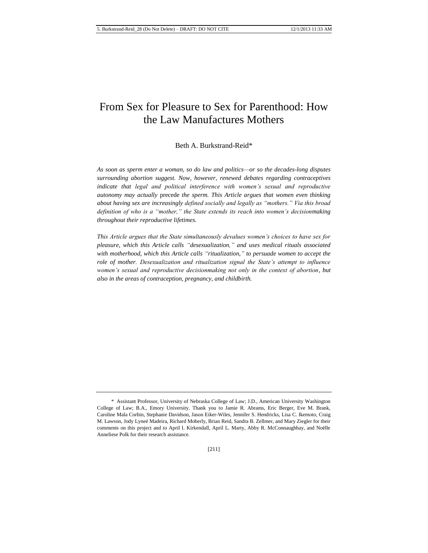# From Sex for Pleasure to Sex for Parenthood: How the Law Manufactures Mothers

# Beth A. Burkstrand-Reid\*

*As soon as sperm enter a woman, so do law and politics—or so the decades-long disputes surrounding abortion suggest. Now, however, renewed debates regarding contraceptives indicate that legal and political interference with women's sexual and reproductive autonomy may actually* precede *the sperm. This Article argues that women even thinking about having sex are increasingly defined socially and legally as "mothers." Via this broad definition of who is a "mother," the State extends its reach into women's decisionmaking throughout their reproductive lifetimes.*

*This Article argues that the State simultaneously devalues women's choices to have sex for pleasure, which this Article calls "desexualization," and uses medical rituals associated with motherhood, which this Article calls "ritualization," to persuade women to accept the role of mother. Desexualization and ritualization signal the State's attempt to influence women's sexual and reproductive decisionmaking not only in the context of abortion, but also in the areas of contraception, pregnancy, and childbirth.*

<sup>\*</sup> Assistant Professor, University of Nebraska College of Law; J.D., American University Washington College of Law; B.A., Emory University. Thank you to Jamie R. Abrams, Eric Berger, Eve M. Brank, Caroline Mala Corbin, Stephanie Davidson, Jason Eiker-Wiles, Jennifer S. Hendricks, Lisa C. Ikemoto, Craig M. Lawson, Jody Lyneé Madeira, Richard Moberly, Brian Reid, Sandra B. Zellmer, and Mary Ziegler for their comments on this project and to April I. Kirkendall, April L. Marty, Abby R. McConnaughhay, and Noëlle Anneliese Polk for their research assistance.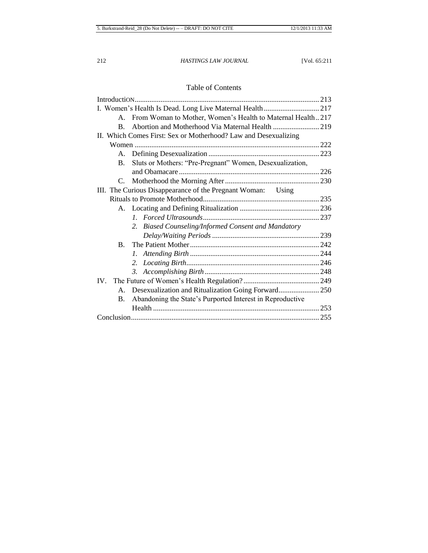# Table of Contents

| From Woman to Mother, Women's Health to Maternal Health217<br>A.       |  |
|------------------------------------------------------------------------|--|
| Abortion and Motherhood Via Maternal Health  219<br>B.                 |  |
| II. Which Comes First: Sex or Motherhood? Law and Desexualizing        |  |
|                                                                        |  |
|                                                                        |  |
| Sluts or Mothers: "Pre-Pregnant" Women, Desexualization,<br><b>B.</b>  |  |
|                                                                        |  |
| C.                                                                     |  |
| III. The Curious Disappearance of the Pregnant Woman: Using            |  |
|                                                                        |  |
|                                                                        |  |
|                                                                        |  |
| 2. Biased Counseling/Informed Consent and Mandatory                    |  |
|                                                                        |  |
| $B_{\cdot}$                                                            |  |
|                                                                        |  |
|                                                                        |  |
|                                                                        |  |
|                                                                        |  |
|                                                                        |  |
| Abandoning the State's Purported Interest in Reproductive<br><b>B.</b> |  |
|                                                                        |  |
|                                                                        |  |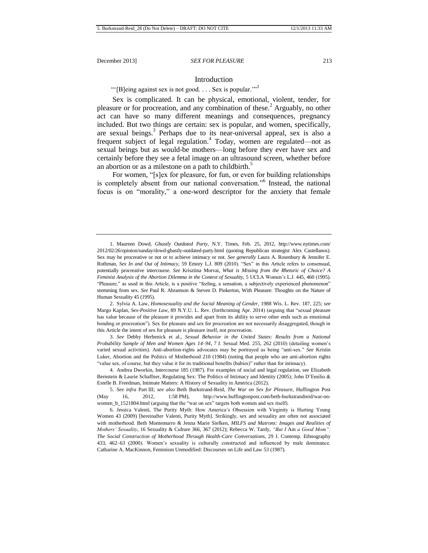## <span id="page-3-0"></span>Introduction

"'[B]eing against sex is not good. . . . Sex is popular."<sup>1</sup>

Sex is complicated. It can be physical, emotional, violent, tender, for pleasure or for procreation, and any combination of these.<sup>2</sup> Arguably, no other act can have so many different meanings and consequences, pregnancy included. But two things are certain: sex is popular, and women, specifically, are sexual beings.<sup>3</sup> Perhaps due to its near-universal appeal, sex is also a frequent subject of legal regulation.<sup>4</sup> Today, women are regulated—not as sexual beings but as would-be mothers—long before they ever have sex and certainly before they see a fetal image on an ultrasound screen, whether before an abortion or as a milestone on a path to childbirth.<sup>5</sup>

For women, "[s]ex for pleasure, for fun, or even for building relationships is completely absent from our national conversation."<sup>6</sup> Instead, the national focus is on "morality," a one-word descriptor for the anxiety that female

2. Sylvia A. Law, *Homosexuality and the Social Meaning of Gender*, 1988 Wis. L. Rev. 187, 225; *see*  Margo Kaplan, *Sex-Positive Law*, 89 N.Y.U. L. Rev. (forthcoming Apr. 2014) (arguing that "sexual pleasure has value because of the pleasure it provides and apart from its ability to serve other ends such as emotional bonding or procreation"). Sex for pleasure and sex for procreation are not necessarily disaggregated, though in this Article the intent of sex for pleasure is pleasure itself, not procreation.

3. *See* Debby Herbenick et al., *Sexual Behavior in the United States: Results from a National Probability Sample of Men and Women Ages 14–94*, 7 J. Sexual Med. 255, 262 (2010) (detailing women's varied sexual activities). Anti-abortion-rights advocates may be portrayed as being "anti-sex." *See* Kristin Luker, Abortion and the Politics of Motherhood 210 (1984) (noting that people who are anti-abortion rights "value sex, of course, but they value it for its traditional benefits (babies)" rather than for intimacy).

4. Andrea Dworkin, Intercourse 185 (1987). For examples of social and legal regulation, see Elizabeth Bernstein & Laurie Schaffner, Regulating Sex: The Politics of Intimacy and Identity (2005); John D'Emilio & Estelle B. Freedman, Intimate Matters: A History of Sexuality in America (2012).

5. *See infra* Part III; *see also* Beth Burkstrand-Reid, *The War on Sex for Pleasure*, Huffington Post (May 16, 2012, 1:58 PM), http://www.huffingtonpost.com/beth-burkstrandreid/war-onwomen\_b\_1521804.html (arguing that the "war on sex" targets both women and sex itself).

6. Jessica Valenti, The Purity Myth: How America's Obsession with Virginity is Hurting Young Women 43 (2009) [hereinafter Valenti, Purity Myth]. Strikingly, sex and sexuality are often not associated with motherhood. Beth Montemurro & Jenna Marie Siefken, *MILFS and Matrons: Images and Realities of Mothers' Sexuality*, 16 Sexuality & Culture 366, 367 (2012); Rebecca W. Tardy, *"But I* Am *a Good Mom": The Social Construction of Motherhood Through Health-Care Conversations*, 29 J. Contemp. Ethnography 433, 462–63 (2000). Women's sexuality is culturally constructed and influenced by male dominance. Catharine A. MacKinnon, Feminism Unmodified: Discourses on Life and Law 53 (1987).

<sup>1.</sup> Maureen Dowd, *Ghastly Outdated Party*, N.Y. Times, Feb. 25, 2012, http://www.nytimes.com/ 2012/02/26/opinion/sunday/dowd-ghastly-outdated-party.html (quoting Republican strategist Alex Castellanos). Sex may be procreative or not or to achieve intimacy or not. *See generally* Laura A. Rosenbury & Jennifer E. Rothman, *Sex In and Out of Intimacy*, 59 Emory L.J. 809 (2010). "Sex" in this Article refers to consensual, potentially procreative intercourse. *See* Krisztina Morvai, *What is Missing from the Rhetoric of Choice? A Feminist Analysis of the Abortion Dilemma in the Context of Sexuality*, 5 UCLA Women's L.J. 445, 460 (1995). "Pleasure," as used in this Article, is a positive "feeling, a sensation, a subjectively experienced phenomenon" stemming from sex. *See* Paul R. Abramson & Steven D. Pinkerton, With Pleasure: Thoughts on the Nature of Human Sexuality 45 (1995).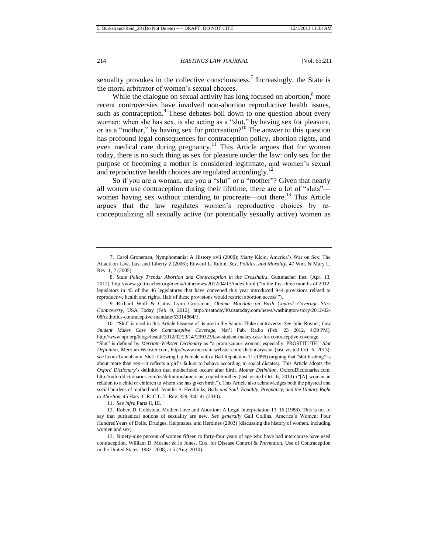sexuality provokes in the collective consciousness.<sup>7</sup> Increasingly, the State is the moral arbitrator of women's sexual choices.

While the dialogue on sexual activity has long focused on abortion,<sup>8</sup> more recent controversies have involved non-abortion reproductive health issues, such as contraception. $9$  These debates boil down to one question about every woman: when she has sex, is she acting as a "slut," by having sex for pleasure, or as a "mother," by having sex for procreation?<sup>10</sup> The answer to this question has profound legal consequences for contraception policy, abortion rights, and even medical care during pregnancy.<sup>11</sup> This Article argues that for women today, there is no such thing as sex for pleasure under the law: only sex for the purpose of becoming a mother is considered legitimate, and women's sexual and reproductive health choices are regulated accordingly.<sup>12</sup>

<span id="page-4-0"></span>So if you are a woman, are you a "slut" or a "mother"? Given that nearly all women use contraception during their lifetime, there are a lot of "sluts" women having sex without intending to procreate—out there.<sup>13</sup> This Article argues that the law regulates women's reproductive choices by reconceptualizing all sexually active (or potentially sexually active) women as

10. "Slut" is used in this Article because of its use in the Sandra Fluke controversy. *See* Julie Rovner, *Law Student Makes Case for Contraceptive Coverage*, Nat'l Pub. Radio (Feb. 23 2012, 4:39 PM), http://www.npr.org/blogs/health/2012/02/23/147299323/law-student-makes-case-for-contraceptive-coverage.

"Slut" is defined by *Merriam-Webster Dictionary* as "a promiscuous woman; especially: PROSTITUTE." *Slut Definition*, Merriam-Webster.com, http://www.merriam-webster.com/ dictionary/slut (last visited Oct. 6, 2013); *see* Leora Tanenbaum, Slut!: Growing Up Female with a Bad Reputation 11 (1999) (arguing that "slut-bashing" is about more than sex—it reflects a girl's failure to behave according to social dictates)*.* This Article adopts the *Oxford Dictionary*'s definition that motherhood occurs after birth. *Mother Definition*, OxfordDictionaries.com, http://oxforddictionaries.com/us/definition/american\_english/mother (last visited Oct. 6, 2013) ("[A] woman in relation to a child or children to whom she has given birth."). This Article also acknowledges both the physical and social burdens of motherhood. Jennifer S. Hendricks, *Body and Soul: Equality, Pregnancy, and the Unitary Right to Abortion*, 45 Harv. C.R.-C.L. L. Rev. 329, 340–41 (2010).

11. *See infra* Parts II, III.

13. Ninety-nine percent of women fifteen to forty-four years of age who have had intercourse have used contraception. William D. Mosher & Jo Jones, Ctrs. for Disease Control & Prevention, Use of Contraception in the United States: 1982–2008, at 5 (Aug. 2010).

<sup>7.</sup> Carol Groneman, Nymphomania: A History xvii (2000); Marty Klein, America's War on Sex: The Attack on Law, Lust and Liberty 2 (2006); Edward L. Rubin, *Sex, Politics, and Morality*, 47 Wm. & Mary L. Rev. 1, 2 (2005).

<sup>8.</sup> *State Policy Trends: Abortion and Contraception in the Crosshairs*, Guttmacher Inst. (Apr. 13, 2012), http://www.guttmacher.org/media/inthenews/2012/04/13/index.html ("In the first three months of 2012, legislators in 45 of the 46 legislatures that have convened this year introduced 944 provisions related to reproductive health and rights. Half of these provisions would restrict abortion access.").

<sup>9.</sup> Richard Wolf & Cathy Lynn Grossman, *Obama Mandate on Birth Control Coverage Stirs Controversy*, USA Today (Feb. 9, 2012), http://usatoday30.usatoday.com/news/washington/story/2012-02- 08/catholics-contraceptive-mandate/53014864/1.

<sup>12.</sup> Robert D. Goldstein, Mother-Love and Abortion: A Legal Interpretation 13–16 (1988). This is not to say that puritanical notions of sexuality are new. *See generally* Gail Collins, America's Women: Four HundredYears of Dolls, Drudges, Helpmates, and Heroines (2003) (discussing the history of women, including women and sex).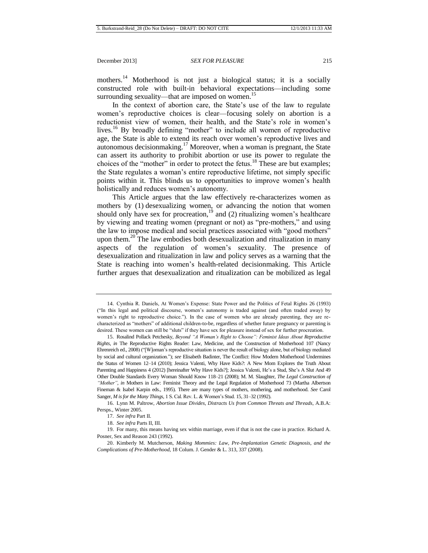mothers.<sup>14</sup> Motherhood is not just a biological status; it is a socially constructed role with built-in behavioral expectations—including some surrounding sexuality—that are imposed on women.<sup>15</sup>

In the context of abortion care, the State's use of the law to regulate women's reproductive choices is clear—focusing solely on abortion is a reductionist view of women, their health, and the State's role in women's lives.<sup>16</sup> By broadly defining "mother" to include all women of reproductive age, the State is able to extend its reach over women's reproductive lives and  $\alpha$ utonomous decisionmaking.<sup>17</sup> Moreover, when a woman is pregnant, the State can assert its authority to prohibit abortion or use its power to regulate the choices of the "mother" in order to protect the fetus.<sup>18</sup> These are but examples; the State regulates a woman's entire reproductive lifetime, not simply specific points within it. This blinds us to opportunities to improve women's health holistically and reduces women's autonomy.

This Article argues that the law effectively re-characterizes women as mothers by (1) desexualizing women, or advancing the notion that women should only have sex for procreation,  $19$  and (2) ritualizing women's healthcare by viewing and treating women (pregnant or not) as "pre-mothers," and using the law to impose medical and social practices associated with "good mothers" upon them.<sup>20</sup> The law embodies both desexualization and ritualization in many aspects of the regulation of women's sexuality. The presence of desexualization and ritualization in law and policy serves as a warning that the State is reaching into women's health-related decisionmaking. This Article further argues that desexualization and ritualization can be mobilized as legal

<sup>14.</sup> Cynthia R. Daniels, At Women's Expense: State Power and the Politics of Fetal Rights 26 (1993) ("In this legal and political discourse, women's autonomy is traded against (and often traded away) by women's right to reproductive choice."). In the case of women who are already parenting, they are recharacterized as "mothers" of additional children-to-be, regardless of whether future pregnancy or parenting is desired. These women can still be "sluts" if they have sex for pleasure instead of sex for further procreation.

<sup>15.</sup> Rosalind Pollack Petchesky, *Beyond "A Woman's Right to Choose": Feminist Ideas About Reproductive Rights*, *in* The Reproductive Rights Reader: Law, Medicine, and the Construction of Motherhood 107 (Nancy Ehrenreich ed., 2008) ("[W]oman's reproductive situation is never the result of biology alone, but of biology mediated by social and cultural organization."); *see* Elisabeth Badinter, The Conflict: How Modern Motherhood Undermines the Status of Women 12–14 (2010); Jessica Valenti, Why Have Kids?: A New Mom Explores the Truth About Parenting and Happiness 4 (2012) [hereinafter Why Have Kids?]; Jessica Valenti, He's a Stud, She's A Slut And 49 Other Double Standards Every Woman Should Know 118–21 (2008); M. M. Slaughter, *The Legal Construction of "Mother"*, *in* Mothers in Law: Feminist Theory and the Legal Regulation of Motherhood 73 (Martha Albertson Fineman & Isabel Karpin eds., 1995). There are many types of mothers, mothering, and motherhood. *See* Carol Sanger, *M is for the Many Things*, 1 S. Cal. Rev. L. & Women's Stud. 15, 31–32 (1992).

<sup>16.</sup> Lynn M. Paltrow, *Abortion Issue Divides, Distracts Us from Common Threats and Threads*, A.B.A: Persps., Winter 2005.

<sup>17.</sup> *See infra* Part II.

<sup>18.</sup> *See infra* Parts II, III.

<sup>19.</sup> For many, this means having sex within marriage, even if that is not the case in practice. Richard A. Posner, Sex and Reason 243 (1992).

<sup>20.</sup> Kimberly M. Mutcherson, *Making Mommies: Law, Pre-Implantation Genetic Diagnosis, and the Complications of Pre-Motherhood*, 18 Colum. J. Gender & L. 313, 337 (2008).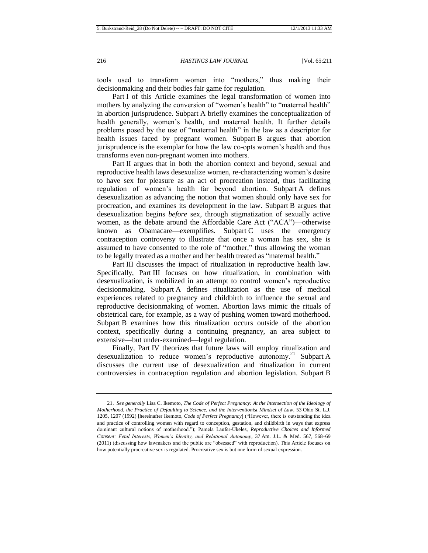tools used to transform women into "mothers," thus making their decisionmaking and their bodies fair game for regulation.

Part I of this Article examines the legal transformation of women into mothers by analyzing the conversion of "women's health" to "maternal health" in abortion jurisprudence. Subpart A briefly examines the conceptualization of health generally, women's health, and maternal health. It further details problems posed by the use of "maternal health" in the law as a descriptor for health issues faced by pregnant women. Subpart B argues that abortion jurisprudence is the exemplar for how the law co-opts women's health and thus transforms even non-pregnant women into mothers.

Part II argues that in both the abortion context and beyond, sexual and reproductive health laws desexualize women, re-characterizing women's desire to have sex for pleasure as an act of procreation instead, thus facilitating regulation of women's health far beyond abortion. Subpart A defines desexualization as advancing the notion that women should only have sex for procreation, and examines its development in the law. Subpart B argues that desexualization begins *before* sex, through stigmatization of sexually active women, as the debate around the Affordable Care Act ("ACA")—otherwise known as Obamacare—exemplifies. Subpart C uses the emergency contraception controversy to illustrate that once a woman has sex, she is assumed to have consented to the role of "mother," thus allowing the woman to be legally treated as a mother and her health treated as "maternal health."

Part III discusses the impact of ritualization in reproductive health law. Specifically, Part III focuses on how ritualization, in combination with desexualization, is mobilized in an attempt to control women's reproductive decisionmaking. Subpart A defines ritualization as the use of medical experiences related to pregnancy and childbirth to influence the sexual and reproductive decisionmaking of women. Abortion laws mimic the rituals of obstetrical care, for example, as a way of pushing women toward motherhood. Subpart B examines how this ritualization occurs outside of the abortion context, specifically during a continuing pregnancy, an area subject to extensive—but under-examined—legal regulation.

Finally, Part IV theorizes that future laws will employ ritualization and desexualization to reduce women's reproductive autonomy.<sup>21</sup> Subpart A discusses the current use of desexualization and ritualization in current controversies in contraception regulation and abortion legislation. Subpart B

<sup>21.</sup> *See generally* Lisa C. Ikemoto, *The Code of Perfect Pregnancy: At the Intersection of the Ideology of Motherhood, the Practice of Defaulting to Science, and the Interventionist Mindset of Law*, 53 Ohio St. L.J. 1205, 1207 (1992) [hereinafter Ikemoto, *Code of Perfect Pregnancy*] ("However, there is outstanding the idea and practice of controlling women with regard to conception, gestation, and childbirth in ways that express dominant cultural notions of motherhood."); Pamela Laufer-Ukeles, *Reproductive Choices and Informed Consent: Fetal Interests, Women's Identity, and Relational Autonomy*, 37 Am. J.L. & Med. 567, 568–69 (2011) (discussing how lawmakers and the public are "obsessed" with reproduction). This Article focuses on how potentially procreative sex is regulated. Procreative sex is but one form of sexual expression.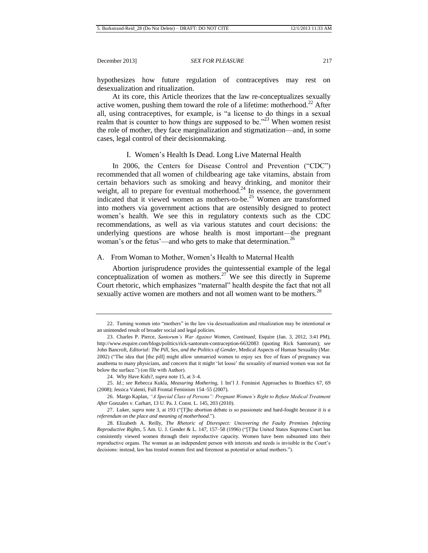hypothesizes how future regulation of contraceptives may rest on desexualization and ritualization.

At its core, this Article theorizes that the law re-conceptualizes sexually active women, pushing them toward the role of a lifetime: motherhood.<sup>22</sup> After all, using contraceptives, for example, is "a license to do things in a sexual realm that is counter to how things are supposed to be.<sup> $23$ </sup> When women resist the role of mother, they face marginalization and stigmatization—and, in some cases, legal control of their decisionmaking.

# I. Women's Health Is Dead. Long Live Maternal Health

In 2006, the Centers for Disease Control and Prevention ("CDC") recommended that all women of childbearing age take vitamins, abstain from certain behaviors such as smoking and heavy drinking, and monitor their weight, all to prepare for eventual motherhood.<sup>24</sup> In essence, the government indicated that it viewed women as mothers-to-be.<sup>25</sup> Women are transformed into mothers via government actions that are ostensibly designed to protect women's health. We see this in regulatory contexts such as the CDC recommendations, as well as via various statutes and court decisions: the underlying questions are whose health is most important—the pregnant woman's or the fetus'—and who gets to make that determination.<sup>26</sup>

# A. From Woman to Mother, Women's Health to Maternal Health

Abortion jurisprudence provides the quintessential example of the legal conceptualization of women as mothers.<sup>27</sup> We see this directly in Supreme Court rhetoric, which emphasizes "maternal" health despite the fact that not all sexually active women are mothers and not all women want to be mothers.<sup>28</sup>

26. Margo Kaplan, *"A Special Class of Persons": Pregnant Women's Right to Refuse Medical Treatment After* Gonzales v. Carhart, 13 U. Pa. J. Const. L. 145, 203 (2010).

27. Luker, *supra* note 3, at 193 ("[T]he abortion debate is so passionate and hard-fought *because it is a referendum on the place and meaning of motherhood*.").

<sup>22.</sup> Turning women into "mothers" in the law via desexualization and ritualization may be intentional or an unintended result of broader social and legal policies.

<sup>23.</sup> Charles P. Pierce, *Santorum's War Against Women, Continued*, Esquire (Jan. 3, 2012, 3:41 PM), <http://www.esquire.com/blogs/politics/rick-santorum-contraception-6632083> (quoting Rick Santorum); *see*  John Bancroft, *Editorial: The Pill, Sex, and the Politics of Gender*, Medical Aspects of Human Sexuality (Mar. 2002) ("The idea that [the pill] might allow unmarried women to enjoy sex free of fears of pregnancy was anathema to many physicians, and concern that it might 'let loose' the sexuality of married women was not far below the surface.") (on file with Author).

<sup>24.</sup> Why Have Kids?, *supra* note 15, at 3–4.

<sup>25.</sup> *Id.*; *see* Rebecca Kukla, *Measuring Mothering*, 1 Int'l J. Feminist Approaches to Bioethics 67, 69 (2008); Jessica Valenti, Full Frontal Feminism 154–55 (2007).

<sup>28.</sup> [Elizabeth A. R](http://web2.westlaw.com/find/default.wl?mt=Westlaw&db=PROFILER-WLD&docname=0114086701&rp=%2ffind%2fdefault.wl&findtype=h&ordoc=0107619873&tc=-1&vr=2.0&fn=_top&sv=Split&tf=-1&pbc=71FAD9F5&rs=WLW12.04)eilly, *The Rhetoric of Disrespect: Uncovering the Faulty Premises Infecting Reproductive Rights*, 5 Am. U. J. Gender & L. 147, 157–58 (1996) ("[T]he United States Supreme Court has consistently viewed women through their reproductive capacity. Women have been subsumed into their reproductive organs. The woman as an independent person with interests and needs is invisible in the Court's decisions: instead, law has treated women first and foremost as potential or actual mothers.").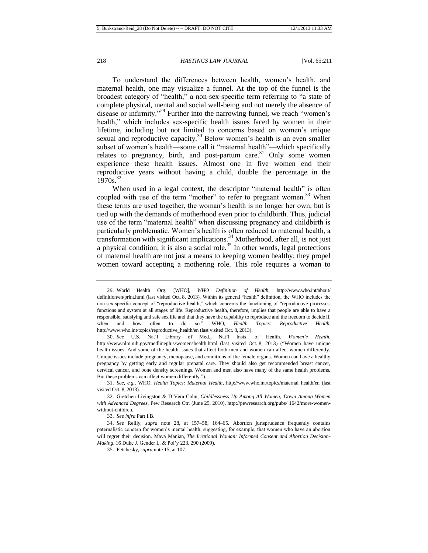To understand the differences between health, women's health, and maternal health, one may visualize a funnel. At the top of the funnel is the broadest category of "health," a non-sex-specific term referring to "a state of complete physical, mental and social well-being and not merely the absence of disease or infirmity."<sup>29</sup> Further into the narrowing funnel, we reach "women's health," which includes sex-specific health issues faced by women in their lifetime, including but not limited to concerns based on women's unique sexual and reproductive capacity.<sup>30</sup> Below women's health is an even smaller subset of women's health—some call it "maternal health"—which specifically relates to pregnancy, birth, and post-partum care.<sup>31</sup> Only some women experience these health issues. Almost one in five women end their reproductive years without having a child, double the percentage in the 1970s. 32

When used in a legal context, the descriptor "maternal health" is often coupled with use of the term "mother" to refer to pregnant women.<sup>33</sup> When these terms are used together, the woman's health is no longer her own, but is tied up with the demands of motherhood even prior to childbirth. Thus, judicial use of the term "maternal health" when discussing pregnancy and childbirth is particularly problematic. Women's health is often reduced to maternal health, a transformation with significant implications.<sup>34</sup> Motherhood, after all, is not just a physical condition; it is also a social role.<sup>35</sup> In other words, legal protections of maternal health are not just a means to keeping women healthy; they propel women toward accepting a mothering role. This role requires a woman to

31. *See, e.g.*, WHO, *Health Topics: Maternal Health*, [http://www.who.int/topics/maternal\\_health/en](http://www.who.int/topics/maternal_health/en/) (last visited Oct. 8, 2013).

32. Gretchen Livingston & D'Vera Cohn, *Childlessness Up Among All Women; Down Among Women with Advanced Degrees*, Pew Research Ctr. (June 25, 2010), http://pewresearch.org/pubs/ 1642/more-womenwithout-children.

33. *See infra* Part I.B.

35. Petchesky, *supra* note 15, at 107.

<sup>29.</sup> World Health Org. [WHO], *WHO Definition of Health*, http://www.who.int/about/ definition/en/print.html (last visited Oct. 8, 2013). Within its general "health" definition, the WHO includes the non-sex-specific concept of "reproductive health," which concerns the functioning of "reproductive processes, functions and system at all stages of life. Reproductive health, therefore, implies that people are able to have a responsible, satisfying and safe sex life and that they have the capability to reproduce and the freedom to decide if, when and how often to do so." WHO, *Health Topics: Reproductive Health*, http://www.who.int/topics/reproductive\_health/en (last visited Oct. 8, 2013).

<sup>30.</sup> *See* U.S. Nat'l Library of Med., Nat'l Insts. of Health, *Women's Health*, http://www.nlm.nih.gov/medlineplus/womenshealth.html (last visited Oct. 8, 2013) ("Women have unique health issues. And some of the health issues that affect both men and women can affect women differently. Unique issues include pregnancy, menopause, and conditions of the female organs. Women can have a healthy pregnancy by getting early and regular prenatal care. They should also get recommended breast cancer, cervical cancer, and bone density screenings. Women and men also have many of the same health problems. But these problems can affect women differently.").

<sup>34.</sup> *See* Reilly, *supra* note 28, at 157–58, 164–65. Abortion jurisprudence frequently contains paternalistic concern for women's mental health, suggesting, for example, that women who have an abortion will regret their decision. Maya Manian, *The Irrational Woman: Informed Consent and Abortion Decision-Making*, 16 Duke J. Gender L. & Pol'y 223, 290 (2009).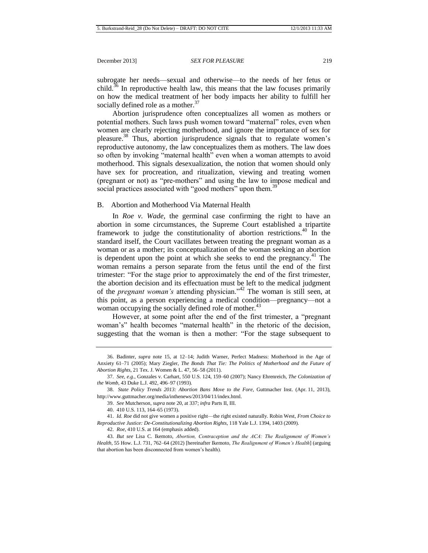subrogate her needs—sexual and otherwise—to the needs of her fetus or child.<sup>36</sup> In reproductive health law, this means that the law focuses primarily on how the medical treatment of her body impacts her ability to fulfill her socially defined role as a mother.<sup>37</sup>

Abortion jurisprudence often conceptualizes all women as mothers or potential mothers. Such laws push women toward "maternal" roles, even when women are clearly rejecting motherhood, and ignore the importance of sex for pleasure.<sup>38</sup> Thus, abortion jurisprudence signals that to regulate women's reproductive autonomy, the law conceptualizes them as mothers. The law does so often by invoking "maternal health" even when a woman attempts to avoid motherhood. This signals desexualization, the notion that women should only have sex for procreation, and ritualization, viewing and treating women (pregnant or not) as "pre-mothers" and using the law to impose medical and social practices associated with "good mothers" upon them.<sup>39</sup>

# B. Abortion and Motherhood Via Maternal Health

In *Roe v. Wade*, the germinal case confirming the right to have an abortion in some circumstances, the Supreme Court established a tripartite framework to judge the constitutionality of abortion restrictions.<sup>40</sup> In the standard itself, the Court vacillates between treating the pregnant woman as a woman or as a mother; its conceptualization of the woman seeking an abortion is dependent upon the point at which she seeks to end the pregnancy.<sup>41</sup> The woman remains a person separate from the fetus until the end of the first trimester: "For the stage prior to approximately the end of the first trimester, the abortion decision and its effectuation must be left to the medical judgment of the *pregnant woman's* attending physician."<sup>42</sup> The woman is still seen, at this point, as a person experiencing a medical condition—pregnancy—not a woman occupying the socially defined role of mother.<sup>43</sup>

However, at some point after the end of the first trimester, a "pregnant woman's" health becomes "maternal health" in the rhetoric of the decision, suggesting that the woman is then a mother: "For the stage subsequent to

<sup>36.</sup> Badinter, *supra* note 15, at 12–14; Judith Warner, Perfect Madness: Motherhood in the Age of Anxiety 61–71 (2005); Mary Ziegler, *The Bonds That Tie: The Politics of Motherhood and the Future of Abortion Rights*, 21 Tex. J. Women & L. 47, 56–58 (2011).

<sup>37.</sup> *See, e.g*., Gonzales v. Carhart, 550 U.S. 124, 159–60 (2007); Nancy Ehrenreich, *The Colonization of the Womb*, 43 Duke L.J. 492, 496–97 (1993).

<sup>38.</sup> *State Policy Trends 2013: Abortion Bans Move to the Fore*, Guttmacher Inst. (Apr. 11, 2013), http://www.guttmacher.org/media/inthenews/2013/04/11/index.html.

<sup>39.</sup> *See* Mutcherson, *supra* note 20, at 337; *infra* Parts II, III.

<sup>40.</sup> 410 U.S. 113, 164–65 (1973).

<sup>41.</sup> *Id. Roe* did not give women a positive right—the right existed naturally. Robin West, *From Choice to Reproductive Justice: De-Constitutionalizing Abortion Rights*, 118 Yale L.J. 1394, 1403 (2009).

<sup>42.</sup> *Roe*, 410 U.S. at 164 (emphasis added).

<sup>43.</sup> *But see* Lisa C. Ikemoto, *Abortion, Contraception and the ACA: The Realignment of Women's Health*, 55 How. L.J. 731, 762–64 (2012) [hereinafter Ikemoto, *The Realignment of Women's Health*] (arguing that abortion has been disconnected from women's health).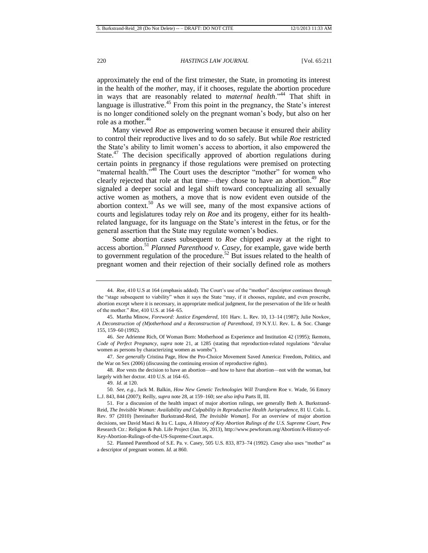approximately the end of the first trimester, the State, in promoting its interest in the health of the *mother*, may, if it chooses, regulate the abortion procedure in ways that are reasonably related to *maternal health*."<sup>44</sup> That shift in language is illustrative.<sup>45</sup> From this point in the pregnancy, the State's interest is no longer conditioned solely on the pregnant woman's body, but also on her role as a mother. 46

Many viewed *Roe* as empowering women because it ensured their ability to control their reproductive lives and to do so safely. But while *Roe* restricted the State's ability to limit women's access to abortion, it also empowered the State. $47$  The decision specifically approved of abortion regulations during certain points in pregnancy if those regulations were premised on protecting "maternal health.<sup>548</sup> The Court uses the descriptor "mother" for women who clearly rejected that role at that time—they chose to have an abortion.<sup>49</sup> *Roe* signaled a deeper social and legal shift toward conceptualizing all sexually active women as mothers, a move that is now evident even outside of the abortion context.<sup>50</sup> As we will see, many of the most expansive actions of courts and legislatures today rely on *Roe* and its progeny, either for its healthrelated language, for its language on the State's interest in the fetus, or for the general assertion that the State may regulate women's bodies.

Some abortion cases subsequent to *Roe* chipped away at the right to access abortion.<sup>51</sup> *Planned Parenthood v. Casey*, for example, gave wide berth to government regulation of the procedure.<sup>52</sup> But issues related to the health of pregnant women and their rejection of their socially defined role as mothers

<sup>44.</sup> *Roe*, 410 U.S at 164 (emphasis added). The Court's use of the "mother" descriptor continues through the "stage subsequent to viability" when it says the State "may, if it chooses, regulate, and even proscribe, abortion except where it is necessary, in appropriate medical judgment, for the preservation of the life or health of the mother." *Roe*, 410 U.S. at 164–65.

<sup>45.</sup> Martha Minow, *Foreword: Justice Engendered*, 101 Harv. L. Rev. 10, 13–14 (1987); Julie Novkov, *A Deconstruction of (M)otherhood and a Reconstruction of Parenthood*, 19 N.Y.U. Rev. L. & Soc. Change 155, 159–60 (1992).

<sup>46.</sup> *See* Adrienne Rich, Of Woman Born: Motherhood as Experience and Institution 42 (1995); Ikemoto, *Code of Perfect Pregnancy*, *supra* note 21, at 1285 (stating that reproduction-related regulations "devalue women as persons by characterizing women as wombs").

<sup>47.</sup> *See generally* Cristina Page, How the Pro-Choice Movement Saved America: Freedom, Politics, and the War on Sex (2006) (discussing the continuing erosion of reproductive rights).

<sup>48.</sup> *Roe* vests the decision to have an abortion—and how to have that abortion—not with the woman, but largely with her doctor. 410 U.S. at 164–65.

<sup>49.</sup> *Id.* at 120.

<sup>50</sup>*. See, e.g.*, Jack M. Balkin, *How New Genetic Technologies Will Transform* Roe v. Wade, 56 Emory L.J. 843, 844 (2007); Reilly, *supra* note 28, at 159–160; *see also infra* Parts II, III.

<sup>51.</sup> For a discussion of the health impact of major abortion rulings, see generally Beth A. Burkstrand-Reid, *The Invisible Woman: Availability and Culpability in Reproductive Health Jurisprudence*, 81 U. Colo. L. Rev. 97 (2010) [hereinafter Burkstrand-Reid, *The Invisible Woman*]. For an overview of major abortion decisions, see David Masci & Ira C. Lupu, *A History of Key Abortion Rulings of the U.S. Supreme Court*, Pew Research Ctr.: Religion & Pub. Life Project (Jan. 16, 2013), http://www.pewforum.org/Abortion/A-History-of-Key-Abortion-Rulings-of-the-US-Supreme-Court.aspx.

<sup>52.</sup> Planned Parenthood of S.E. Pa. v. Casey, 505 U.S. 833, 873–74 (1992). *Casey* also uses "mother" as a descriptor of pregnant women. *Id.* at 860.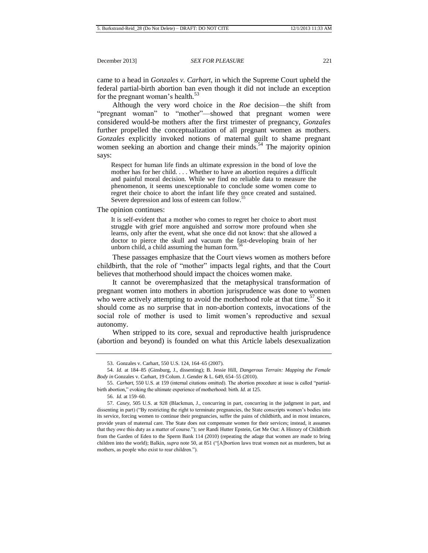came to a head in *Gonzales v. Carhart*, in which the Supreme Court upheld the federal partial-birth abortion ban even though it did not include an exception for the pregnant woman's health*.* 53

Although the very word choice in the *Roe* decision—the shift from "pregnant woman" to "mother"—showed that pregnant women were considered would-be mothers after the first trimester of pregnancy, *Gonzales* further propelled the conceptualization of all pregnant women as mothers. *Gonzales* explicitly invoked notions of maternal guilt to shame pregnant women seeking an abortion and change their minds.<sup>54</sup> The majority opinion says:

Respect for human life finds an ultimate expression in the bond of love the mother has for her child. . . . Whether to have an abortion requires a difficult and painful moral decision. While we find no reliable data to measure the phenomenon, it seems unexceptionable to conclude some women come to regret their choice to abort the infant life they once created and sustained. Severe depression and loss of esteem can follow.<sup>55</sup>

The opinion continues:

It is self-evident that a mother who comes to regret her choice to abort must struggle with grief more anguished and sorrow more profound when she learns, only after the event, what she once did not know: that she allowed a doctor to pierce the skull and vacuum the fast-developing brain of her unborn child, a child assuming the human form. $\frac{5}{10}$ 

These passages emphasize that the Court views women as mothers before childbirth, that the role of "mother" impacts legal rights, and that the Court believes that motherhood should impact the choices women make.

It cannot be overemphasized that the metaphysical transformation of pregnant women into mothers in abortion jurisprudence was done to women who were actively attempting to avoid the motherhood role at that time.<sup>57</sup> So it should come as no surprise that in non-abortion contexts, invocations of the social role of mother is used to limit women's reproductive and sexual autonomy.

When stripped to its core, sexual and reproductive health jurisprudence (abortion and beyond) is founded on what this Article labels desexualization

<sup>53.</sup> Gonzales v. Carhart, 550 U.S. 124, 164–65 (2007).

<sup>54.</sup> *Id.* at 184–85 (Ginsburg, J., dissenting); B. Jessie Hill, *Dangerous Terrain: Mapping the Female Body in* Gonzales v. Carhart, 19 Colum. J. Gender & L. 649, 654–55 (2010).

<sup>55.</sup> *Carhart*, 550 U.S. at 159 (internal citations omitted). The abortion procedure at issue is called "partialbirth abortion," evoking the ultimate experience of motherhood: birth. *Id.* at 125.

<sup>56.</sup> *Id.* at 159–60.

<sup>57.</sup> *Casey*, 505 U.S. at 928 (Blackmun, J., concurring in part, concurring in the judgment in part, and dissenting in part) ("By restricting the right to terminate pregnancies, the State conscripts women's bodies into its service, forcing women to continue their pregnancies, suffer the pains of childbirth, and in most instances, provide years of maternal care. The State does not compensate women for their services; instead, it assumes that they owe this duty as a matter of course."); *see* Randi Hutter Epstein, Get Me Out: A History of Childbirth from the Garden of Eden to the Sperm Bank 114 (2010) (repeating the adage that women are made to bring children into the world); Balkin, *supra* note 50, at 851 ("[A]bortion laws treat women not as murderers, but as mothers, as people who exist to rear children.").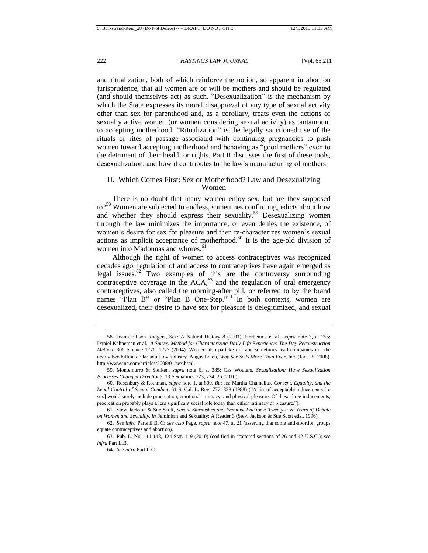and ritualization, both of which reinforce the notion, so apparent in abortion jurisprudence, that all women are or will be mothers and should be regulated (and should themselves act) as such. "Desexualization" is the mechanism by which the State expresses its moral disapproval of any type of sexual activity other than sex for parenthood and, as a corollary, treats even the actions of sexually active women (or women considering sexual activity) as tantamount to accepting motherhood. "Ritualization" is the legally sanctioned use of the rituals or rites of passage associated with continuing pregnancies to push women toward accepting motherhood and behaving as "good mothers" even to the detriment of their health or rights. Part II discusses the first of these tools, desexualization, and how it contributes to the law's manufacturing of mothers.

# <span id="page-12-0"></span>II. Which Comes First: Sex or Motherhood? Law and Desexualizing Women

There is no doubt that many women enjoy sex, but are they supposed to?<sup>58</sup> Women are subjected to endless, sometimes conflicting, edicts about how and whether they should express their sexuality.<sup>59</sup> Desexualizing women through the law minimizes the importance, or even denies the existence, of women's desire for sex for pleasure and then re-characterizes women's sexual actions as implicit acceptance of motherhood. $60$  It is the age-old division of women into Madonnas and whores.<sup>61</sup>

<span id="page-12-1"></span>Although the right of women to access contraceptives was recognized decades ago, regulation of and access to contraceptives have again emerged as legal issues.<sup>62</sup> Two examples of this are the controversy surrounding contraceptive coverage in the  $ACA$ ,<sup>63</sup> and the regulation of oral emergency contraceptives, also called the morning-after pill, or referred to by the brand names "Plan B" or "Plan B One-Step."<sup>64</sup> In both contexts, women are desexualized, their desire to have sex for pleasure is delegitimized, and sexual

<sup>58.</sup> Joann Ellison Rodgers, Sex: A Natural History 8 (2001); Herbenick et al., *supra* note 3, at 255; Daniel Kahneman et al., *A Survey Method for Characterizing Daily Life Experience: The Day Reconstruction Method*, 306 Science 1776, 1777 (2004). Women also partake in—and sometimes lead companies in—the nearly two billion dollar adult toy industry. Angus Loten, *Why Sex Sells More Than Ever*, Inc. (Jan. 25, 2008), [http://www.inc.com/articles/2008/01/sex.html.](http://www.inc.com/articles/2008/01/sex.html)

<sup>59.</sup> Montemurro & Siefken, *supra* note 6, at 385; Cas Wouters, *Sexualization: Have Sexualization Processes Changed Direction?*, 13 Sexualities 723, 724–26 (2010).

<sup>60.</sup> Rosenbury & Rothman, *supra* note [1,](#page-3-0) at 809. *But see* Martha Chamallas, *Consent, Equality, and the Legal Control of Sexual Conduct*, 61 S. Cal. L. Rev. 777, 838 (1988) ("A list of acceptable inducements [to sex] would surely include procreation, emotional intimacy, and physical pleasure. Of these three inducements, procreation probably plays a less significant social role today than either intimacy or pleasure.").

<sup>61.</sup> Stevi Jackson & Sue Scott, *Sexual Skirmishes and Feminist Factions: Twenty-Five Years of Debate on Women and Sexuality*, *in* Feminism and Sexuality: A Reader 3 (Stevi Jackson & Sue Scott eds., 1996).

<sup>62.</sup> *See infra* Parts II.B, C; *see also* Page, *supra* note 47, at 21 (asserting that some anti-abortion groups equate contraceptives and abortion).

<sup>63.</sup> Pub. L. No. 111-148, 124 Stat. 119 (2010) (codified in scattered sections of 26 and 42 U.S.C.); *see infra* Part II.B.

<sup>64.</sup> *See infra* Part II.C.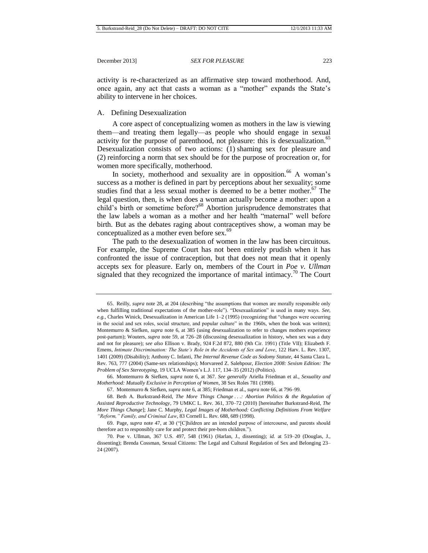activity is re-characterized as an affirmative step toward motherhood. And, once again, any act that casts a woman as a "mother" expands the State's ability to intervene in her choices.

## A. Defining Desexualization

A core aspect of conceptualizing women as mothers in the law is viewing them—and treating them legally—as people who should engage in sexual activity for the purpose of parenthood, not pleasure: this is desexualization.<sup>65</sup> Desexualization consists of two actions: (1) shaming sex for pleasure and (2) reinforcing a norm that sex should be for the purpose of procreation or, for women more specifically, motherhood.

<span id="page-13-0"></span>In society, motherhood and sexuality are in opposition.<sup>66</sup> A woman's success as a mother is defined in part by perceptions about her sexuality; some studies find that a less sexual mother is deemed to be a better mother.<sup>67</sup> The legal question, then, is when does a woman actually become a mother: upon a child's birth or sometime before?<sup>68</sup> Abortion jurisprudence demonstrates that the law labels a woman as a mother and her health "maternal" well before birth. But as the debates raging about contraceptives show, a woman may be conceptualized as a mother even before sex.<sup>69</sup>

<span id="page-13-2"></span><span id="page-13-1"></span>The path to the desexualization of women in the law has been circuitous. For example, the Supreme Court has not been entirely prudish when it has confronted the issue of contraception, but that does not mean that it openly accepts sex for pleasure. Early on, members of the Court in *Poe v. Ullman* signaled that they recognized the importance of marital intimacy.<sup>70</sup> The Court

<sup>65.</sup> Reilly, *supra* note 28, at 204 (describing "the assumptions that women are morally responsible only when fulfilling traditional expectations of the mother-role"). "Desexualization" is used in many ways. *See, e.g.*, Charles Winick, Desexualization in American Life 1–2 (1995) (recognizing that "changes were occurring in the social and sex roles, social structure, and popular culture" in the 1960s, when the book was written); Montemurro & Siefken, *supra* note 6, at 385 (using desexualization to refer to changes mothers experience post-partum); Wouters, *supra* not[e 59,](#page-12-0) at 726–28 (discussing desexualization in history, when sex was a duty and not for pleasure); s*ee also* Ellison v. Brady, 924 F.2d 872, 880 (9th Cir. 1991) (Title VII); Elizabeth F. Emens, *Intimate Discrimination: The State's Role in the Accidents of Sex and Love*, 122 Harv. L. Rev. 1307, 1401 (2009) (Disability)[; Anthony C. Infanti,](http://www.westlaw.com/Find/Default.wl?rs=dfa1.0&vr=2.0&DB=PROFILER-WLD&DocName=0154962201&FindType=h) *The Internal Revenue Code as Sodomy Statute*, 44 Santa Clara L. Rev. 763, 777 (2004) (Same-sex relationships); [Morvareed Z. Salehpour,](http://www.westlaw.com/Find/Default.wl?rs=dfa1.0&vr=2.0&DB=PROFILER-WLD&DocName=0450591801&FindType=h) *Election 2008: Sexism Edition: The Problem of Sex Stereotyping*, 19 UCLA Women's L.J. 117, 134–35 (2012) (Politics).

<sup>66.</sup> Montemurro & Siefken, *supra* note 6, at 367. *See generally* Ariella Friedman et al., *Sexuality and Motherhood: Mutually Exclusive in Perception of Women*, 38 Sex Roles 781 (1998).

<sup>67.</sup> Montemurro & Siefken, *supra* note 6, at 385; Friedman et al., *supra* not[e 66,](#page-13-0) at 796–99.

<sup>68.</sup> Beth A. Burkstrand-Reid, *The More Things Change . . .: Abortion Politics & the Regulation of Assisted Reproductive Technology*, 79 UMKC L. Rev. 361, 370–72 (2010) [hereinafter Burkstrand-Reid, *The More Things Change*]; Jane C. Murphy, *Legal Images of Motherhood: Conflicting Definitions From Welfare "Reform," Family, and Criminal Law*, 83 Cornell L. Rev. 688, 689 (1998).

<sup>69.</sup> Page, *supra* note 47, at 30 ("[C]hildren are an intended purpose of intercourse, and parents should therefore act to responsibly care for and protect their pre-born children.").

<sup>70.</sup> Poe v. Ullman, 367 U.S. 497, 548 (1961) (Harlan, J., dissenting); *id.* at 519–20 (Douglas, J., dissenting); Brenda Cossman, Sexual Citizens: The Legal and Cultural Regulation of Sex and Belonging 23– 24 (2007).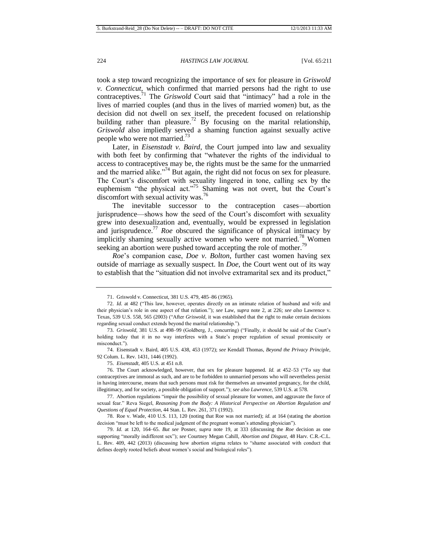took a step toward recognizing the importance of sex for pleasure in *Griswold v. Connecticut*, which confirmed that married persons had the right to use contraceptives.<sup>71</sup> The *Griswold* Court said that "intimacy" had a role in the lives of married couples (and thus in the lives of married *women*) but, as the decision did not dwell on sex itself, the precedent focused on relationship building rather than pleasure.<sup>72</sup> By focusing on the marital relationship, *Griswold* also impliedly served a shaming function against sexually active people who were not married.<sup>73</sup>

Later, in *Eisenstadt v. Baird*, the Court jumped into law and sexuality with both feet by confirming that "whatever the rights of the individual to access to contraceptives may be, the rights must be the same for the unmarried and the married alike."<sup>74</sup> But again, the right did not focus on sex for pleasure. The Court's discomfort with sexuality lingered in tone, calling sex by the euphemism "the physical act."<sup>75</sup> Shaming was not overt, but the Court's discomfort with sexual activity was. $^{76}$ 

The inevitable successor to the contraception cases—abortion jurisprudence—shows how the seed of the Court's discomfort with sexuality grew into desexualization and, eventually, would be expressed in legislation and jurisprudence.<sup>77</sup> *Roe* obscured the significance of physical intimacy by implicitly shaming sexually active women who were not married.<sup>78</sup> Women seeking an abortion were pushed toward accepting the role of mother.<sup>79</sup>

*Roe*'s companion case, *Doe v. Bolton*, further cast women having sex outside of marriage as sexually suspect. In *Doe*, the Court went out of its way to establish that the "situation did not involve extramarital sex and its product,"

<sup>71.</sup> Griswold v. Connecticut, 381 U.S. 479, 485–86 (1965).

<sup>72.</sup> *Id.* at 482 ("This law, however, operates directly on an intimate relation of husband and wife and their physician's role in one aspect of that relation."); *see* Law, *supra* note 2, at 226; *see also* Lawrence v. Texas, 539 U.S. 558, 565 (2003) ("After *Griswold*, it was established that the right to make certain decisions regarding sexual conduct extends beyond the marital relationship.").

<sup>73.</sup> *Griswold*, 381 U.S. at 498–99 (Goldberg, J., concurring) ("Finally, it should be said of the Court's holding today that it in no way interferes with a State's proper regulation of sexual promiscuity or misconduct.").

<sup>74.</sup> Eisenstadt v. Baird, 405 U.S. 438, 453 (1972); *see* Kendall Thomas, *Beyond the Privacy Principle*, 92 Colum. L. Rev. 1431, 1446 (1992).

<sup>75.</sup> *Eisenstadt*, 405 U.S. at 451 n.8.

<sup>76.</sup> The Court acknowledged, however, that sex for pleasure happened. *Id.* at 452–53 ("To say that contraceptives are immoral as such, and are to be forbidden to unmarried persons who will nevertheless persist in having intercourse, means that such persons must risk for themselves an unwanted pregnancy, for the child, illegitimacy, and for society, a possible obligation of support."); *see also Lawrence*, 539 U.S. at 578.

<sup>77.</sup> Abortion regulations "impair the possibility of sexual pleasure for women, and aggravate the force of sexual fear." Reva Siegel, *Reasoning from the Body: A Historical Perspective on Abortion Regulation and Questions of Equal Protection*, 44 Stan. L. Rev. 261, 371 (1992).

<sup>78.</sup> Roe v. Wade, 410 U.S. 113, 120 (noting that Roe was not married); *id.* at 164 (stating the abortion decision "must be left to the medical judgment of the pregnant woman's attending physician").

<sup>79.</sup> *Id.* at 120, 164–65. *But see* Posner, *supra* note 19, at 333 (discussing the *Roe* decision as one supporting "morally indifferent sex"); *see* Courtney Megan Cahill, *Abortion and Disgust*, 48 Harv. C.R.-C.L. L. Rev. 409, 442 (2013) (discussing how abortion stigma relates to "shame associated with conduct that defines deeply rooted beliefs about women's social and biological roles").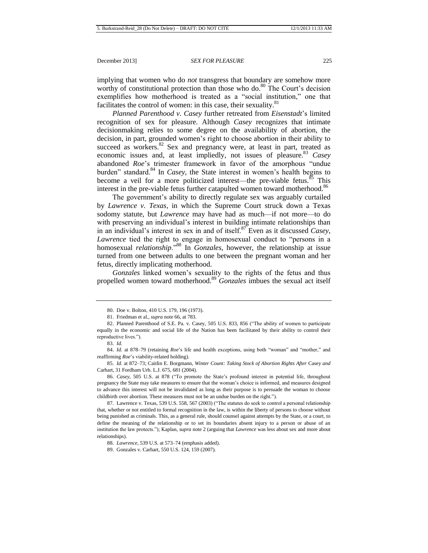implying that women who do *not* transgress that boundary are somehow more worthy of constitutional protection than those who do. $80$  The Court's decision exemplifies how motherhood is treated as a "social institution," one that facilitates the control of women: in this case, their sexuality. $81$ 

*Planned Parenthood v. Casey* further retreated from *Eisenstadt*'s limited recognition of sex for pleasure. Although *Casey* recognizes that intimate decisionmaking relies to some degree on the availability of abortion, the decision, in part, grounded women's right to choose abortion in their ability to succeed as workers. $82$  Sex and pregnancy were, at least in part, treated as economic issues and, at least impliedly, not issues of pleasure.<sup>83</sup> *Casey* abandoned *Roe*'s trimester framework in favor of the amorphous "undue burden" standard.<sup>84</sup> In *Casey*, the State interest in women's health begins to become a veil for a more politicized interest—the pre-viable fetus. $85$  This interest in the pre-viable fetus further catapulted women toward motherhood.<sup>86</sup>

The government's ability to directly regulate sex was arguably curtailed by *Lawrence v. Texas*, in which the Supreme Court struck down a Texas sodomy statute, but *Lawrence* may have had as much—if not more—to do with preserving an individual's interest in building intimate relationships than in an individual's interest in sex in and of itself.<sup>87</sup> Even as it discussed *Casey*, *Lawrence* tied the right to engage in homosexual conduct to "persons in a homosexual *relationship*."<sup>88</sup> In *Gonzales*, however, the relationship at issue turned from one between adults to one between the pregnant woman and her fetus, directly implicating motherhood.

*Gonzales* linked women's sexuality to the rights of the fetus and thus propelled women toward motherhood.<sup>89</sup> *Gonzales* imbues the sexual act itself

85. *Id.* at 872–73; Caitlin E. Borgmann, *Winter Count: Taking Stock of Abortion Rights After* Casey *and*  Carhart, 31 Fordham Urb. L.J. 675, 681 (2004).

<sup>80.</sup> Doe v. Bolton, 410 U.S. 179, 196 (1973).

<sup>81.</sup> Friedman et al., *supra* not[e 66,](#page-13-0) at 783.

<sup>82.</sup> Planned Parenthood of S.E. Pa. v. Casey, 505 U.S. 833, 856 ("The ability of women to participate equally in the economic and social life of the Nation has been facilitated by their ability to control their reproductive lives.").

<sup>83.</sup> *Id.*

<sup>84.</sup> *Id.* at 878–79 (retaining *Roe*'s life and health exceptions, using both "woman" and "mother," and reaffirming *Roe*'s viability-related holding).

<sup>86.</sup> *Casey*, 505 U.S. at 878 ("To promote the State's profound interest in potential life, throughout pregnancy the State may take measures to ensure that the woman's choice is informed, and measures designed to advance this interest will not be invalidated as long as their purpose is to persuade the woman to choose childbirth over abortion. These measures must not be an undue burden on the right.").

<sup>87.</sup> Lawrence v. Texas, 539 U.S. 558, 567 (2003) ("The statutes do seek to control a personal relationship that, whether or not entitled to formal recognition in the law, is within the liberty of persons to choose without being punished as criminals. This, as a general rule, should counsel against attempts by the State, or a court, to define the meaning of the relationship or to set its boundaries absent injury to a person or abuse of an institution the law protects."); Kaplan, *supra* note 2 (arguing that *Lawrence* was less about sex and more about relationships).

<sup>88.</sup> *Lawrence*, 539 U.S. at 573–74 (emphasis added).

<sup>89.</sup> Gonzales v. Carhart, 550 U.S. 124, 159 (2007).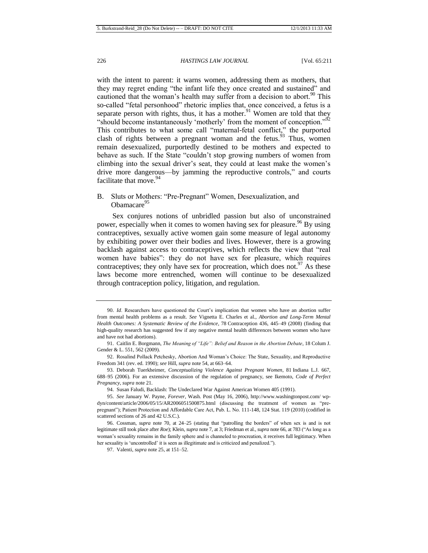with the intent to parent: it warns women, addressing them as mothers, that they may regret ending "the infant life they once created and sustained" and cautioned that the woman's health may suffer from a decision to abort.<sup>90</sup> This so-called "fetal personhood" rhetoric implies that, once conceived, a fetus is a separate person with rights, thus, it has a mother.<sup>91</sup> Women are told that they "should become instantaneously 'motherly' from the moment of conception."<sup>92</sup> This contributes to what some call "maternal-fetal conflict," the purported clash of rights between a pregnant woman and the fetus.<sup>93</sup> Thus, women remain desexualized, purportedly destined to be mothers and expected to behave as such. If the State "couldn't stop growing numbers of women from climbing into the sexual driver's seat, they could at least make the women's drive more dangerous—by jamming the reproductive controls," and courts facilitate that move.<sup>94</sup>

# B. Sluts or Mothers: "Pre-Pregnant" Women, Desexualization, and Obamacare<sup>95</sup>

Sex conjures notions of unbridled passion but also of unconstrained power, especially when it comes to women having sex for pleasure.<sup>96</sup> By using contraceptives, sexually active women gain some measure of legal autonomy by exhibiting power over their bodies and lives. However, there is a growing backlash against access to contraceptives, which reflects the view that "real women have babies": they do not have sex for pleasure, which requires contraceptives; they only have sex for procreation, which does not.  $\frac{97}{12}$  As these laws become more entrenched, women will continue to be desexualized through contraception policy, litigation, and regulation.

<sup>90.</sup> *Id*. Researchers have questioned the Court's implication that women who have an abortion suffer from mental health problems as a result*. See* Vignetta E. Charles et al., *Abortion and Long-Term Mental Health Outcomes: A Systematic Review of the Evidence*, 78 Contraception 436, 445–49 (2008) (finding that high-quality research has suggested few if any negative mental health differences between women who have and have not had abortions).

<sup>91.</sup> Caitlin E. Borgmann, *The Meaning of "Life": Belief and Reason in the Abortion Debate*, 18 Colum J. Gender & L. 551, 562 (2009).

<sup>92.</sup> Rosalind Pollack Petchesky, Abortion And Woman's Choice: The State, Sexuality, and Reproductive Freedom 341 (rev. ed. 1990); *see* Hill, *supra* note 54, at 663–64.

<sup>93.</sup> Deborah Tuerkheimer, *Conceptualizing Violence Against Pregnant Women*, 81 Indiana L.J. 667, 688–95 (2006). For an extensive discussion of the regulation of pregnancy, see Ikemoto, *Code of Perfect Pregnancy*, *supra* note 21.

<sup>94.</sup> Susan Faludi, Backlash: The Undeclared War Against American Women 405 (1991).

<sup>95.</sup> *See* January W. Payne, *Forever*, Wash. Post (May 16, 2006), http://www.washingtonpost.com/ wpdyn/content/article/2006/05/15/AR2006051500875.html (discussing the treatment of women as "prepregnant"); Patient Protection and Affordable Care Act, Pub. L. No. 111-148, 124 Stat. 119 (2010) (codified in scattered sections of 26 and 42 U.S.C.).

<sup>96.</sup> Cossman, *supra* note [70,](#page-13-1) at 24–25 (stating that "patrolling the borders" of when sex is and is not legitimate still took place after *Roe*); Klein, *supra* note 7, at 3; Friedman et al., *supra* not[e 66,](#page-13-0) at 783 ("As long as a woman's sexuality remains in the family sphere and is channeled to procreation, it receives full legitimacy. When her sexuality is 'uncontrolled' it is seen as illegitimate and is criticized and penalized.").

<sup>97.</sup> Valenti, *supra* note 25, at 151–52.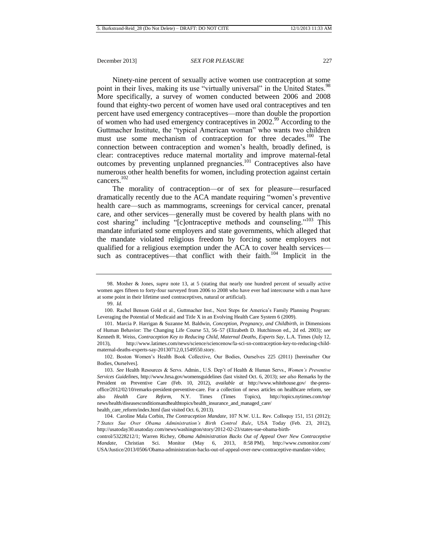Ninety-nine percent of sexually active women use contraception at some point in their lives, making its use "virtually universal" in the United States.<sup>98</sup> More specifically, a survey of women conducted between 2006 and 2008 found that eighty-two percent of women have used oral contraceptives and ten percent have used emergency contraceptives—more than double the proportion of women who had used emergency contraceptives in 2002.<sup>99</sup> According to the Guttmacher Institute, the "typical American woman" who wants two children must use some mechanism of contraception for three decades.<sup>100</sup> The connection between contraception and women's health, broadly defined, is clear: contraceptives reduce maternal mortality and improve maternal-fetal outcomes by preventing unplanned pregnancies.<sup>101</sup> Contraceptives also have numerous other health benefits for women, including protection against certain cancers. 102

<span id="page-17-0"></span>The morality of contraception—or of sex for pleasure—resurfaced dramatically recently due to the ACA mandate requiring "women's preventive health care—such as mammograms, screenings for cervical cancer, prenatal care, and other services—generally must be covered by health plans with no cost sharing" including "[c]ontraceptive methods and counseling."<sup>103</sup> This mandate infuriated some employers and state governments, which alleged that the mandate violated religious freedom by forcing some employers not qualified for a religious exemption under the ACA to cover health services such as contraceptives—that conflict with their faith.<sup>104</sup> Implicit in the

<sup>98.</sup> Mosher & Jones, *supra* note [13,](#page-4-0) at 5 (stating that nearly one hundred percent of sexually active women ages fifteen to forty-four surveyed from 2006 to 2008 who have ever had intercourse with a man have at some point in their lifetime used contraceptives, natural or artificial).

<sup>99.</sup> *Id.*

<sup>100.</sup> Rachel Benson Gold et al., Guttmacher Inst., Next Steps for America's Family Planning Program: Leveraging the Potential of Medicaid and Title X in an Evolving Health Care System 6 (2009).

<sup>101.</sup> Marcia P. Harrigan & Suzanne M. Baldwin, *Conception, Pregnancy, and Childbirth*, *in* Dimensions of Human Behavior: The Changing Life Course 53, 56–57 (Elizabeth D. Hutchinson ed., 2d ed. 2003); *see* Kenneth R. Weiss, *Contraception Key to Reducing Child, Maternal Deaths, Experts Say*, L.A. Times (July 12, 2013), http://www.latimes.com/news/science/sciencenow/la-sci-sn-contraception-key-to-reducing-childmaternal-deaths-experts-say-20130712,0,1549550.story.

<sup>102.</sup> Boston Women's Health Book Collective, Our Bodies, Ourselves 225 (2011) [hereinafter Our Bodies, Ourselves].

<sup>103.</sup> *See* Health Resources & Servs. Admin., U.S. Dep't of Health & Human Servs., *Women's Preventive Services Guidelines*, [http://www.hrsa.gov/womensguidelines](http://www.hrsa.gov/womensguidelines/) (last visited Oct. 6, 2013); *see also* Remarks by the President on Preventive Care (Feb. 10, 2012), *available at* http://www.whitehouse.gov/ the-pressoffice/2012/02/10/remarks-president-preventive-care. For a collection of news articles on healthcare reform, see also *Health Care Reform*, N.Y. Times (Times Topics), http://topics.nytimes.com/top/ news/health/diseasesconditionsandhealthtopics/health\_insurance\_and\_managed\_care/ health\_care\_reform/index.html (last visited Oct. 6, 2013).

<sup>104.</sup> Caroline Mala Corbin, *The Contraception Mandate*, 107 N.W. U.L. Rev. Colloquy 151, 151 (2012); *7 States Sue Over Obama Administration's Birth Control Rule*, USA Today (Feb. 23, 2012), [http://usatoday30.usatoday.com/news/washington/story/2012-02-23/states-sue-obama-birth-](http://usatoday30.usatoday.com/news/washington/story/2012-02-23/states-sue-obama-birth-control/53228212/1)

[control/53228212/1;](http://usatoday30.usatoday.com/news/washington/story/2012-02-23/states-sue-obama-birth-control/53228212/1) Warren Richey, *Obama Administration Backs Out of Appeal Over New Contraceptive Mandate*, Christian Sci. Monitor (May 6, 2013, 8:58 PM), http://www.csmonitor.com/ USA/Justice/2013/0506/Obama-administration-backs-out-of-appeal-over-new-contraceptive-mandate-video;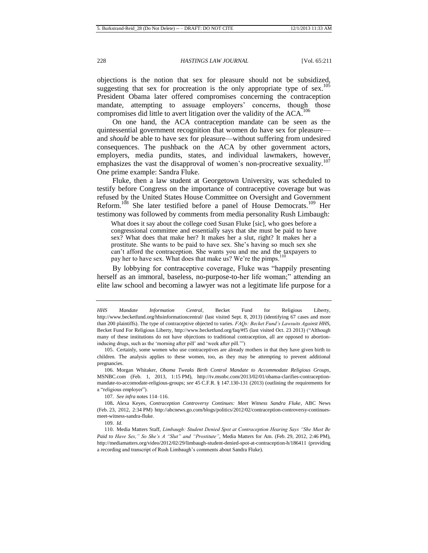objections is the notion that sex for pleasure should not be subsidized, suggesting that sex for procreation is the only appropriate type of sex.<sup>105</sup> President Obama later offered compromises concerning the contraception mandate, attempting to assuage employers' concerns, though those compromises did little to avert litigation over the validity of the  $ACA$ <sup>106</sup>

On one hand, the ACA contraception mandate can be seen as the quintessential government recognition that women do have sex for pleasure and *should* be able to have sex for pleasure—without suffering from undesired consequences. The pushback on the ACA by other government actors, employers, media pundits, states, and individual lawmakers, however, emphasizes the vast the disapproval of women's non-procreative sexuality.<sup>107</sup> One prime example: Sandra Fluke.

Fluke, then a law student at Georgetown University, was scheduled to testify before Congress on the importance of contraceptive coverage but was refused by the United States House Committee on Oversight and Government Reform.<sup>108</sup> She later testified before a panel of House Democrats.<sup>109</sup> Her testimony was followed by comments from media personality Rush Limbaugh:

What does it say about the college coed Susan Fluke [sic], who goes before a congressional committee and essentially says that she must be paid to have sex? What does that make her? It makes her a slut, right? It makes her a prostitute. She wants to be paid to have sex. She's having so much sex she can't afford the contraception. She wants you and me and the taxpayers to pay her to have sex. What does that make us? We're the pimps.<sup>1</sup>

By lobbying for contraceptive coverage, Fluke was "happily presenting herself as an immoral, baseless, no-purpose-to-her life woman;" attending an elite law school and becoming a lawyer was not a legitimate life purpose for a

107. *See infra* notes 114–116.

108**.** Alexa Keyes, *Contraception Controversy Continues: Meet Witness Sandra Fluke*, ABC News (Feb. 23, 2012, 2:34 PM) http://abcnews.go.com/blogs/politics/2012/02/contraception-controversy-continuesmeet-witness-sandra-fluke.

109. *Id.*

*HHS Mandate Information Central*, Becket Fund for Religious Liberty, http://www.becketfund.org/hhsinformationcentral/ (last visited Sept. 8, 2013) (identifying 67 cases and more than 200 plaintiffs). The type of contraceptive objected to varies. *FAQs: Becket Fund's Lawsuits Against HHS*, Becket Fund For Religious Liberty, http://www.becketfund.org/faq/#f5 (last visited Oct. 23 2013) ("Although many of these institutions do not have objections to traditional contraception, all are opposed to abortioninducing drugs, such as the 'morning after pill' and 'week after pill.'")

<sup>105.</sup> Certainly, some women who use contraceptives are already mothers in that they have given birth to children. The analysis applies to these women, too, as they may be attempting to prevent additional pregnancies.

<sup>106.</sup> Morgan Whitaker, *Obama Tweaks Birth Control Mandate to Accommodate Religious Groups*, MSNBC.com (Feb. 1, 2013, 1:15 PM), http://tv.msnbc.com/2013/02/01/obama-clarifies-contraceptionmandate-to-accomodate-religious-groups; *see* 45 C.F.R. § 147.130-131 (2013) (outlining the requirements for a "religious employer").

<sup>110.</sup> Media Matters Staff, *Limbaugh: Student Denied Spot at Contraception Hearing Says "She Must Be Paid to Have Sex," So She's A "Slut" and "Prostitute"*, Media Matters for Am. (Feb. 29, 2012, 2:46 PM), http://mediamatters.org/video/2012/02/29/limbaugh-student-denied-spot-at-contraception-h/186411 (providing a recording and transcript of Rush Limbaugh's comments about Sandra Fluke).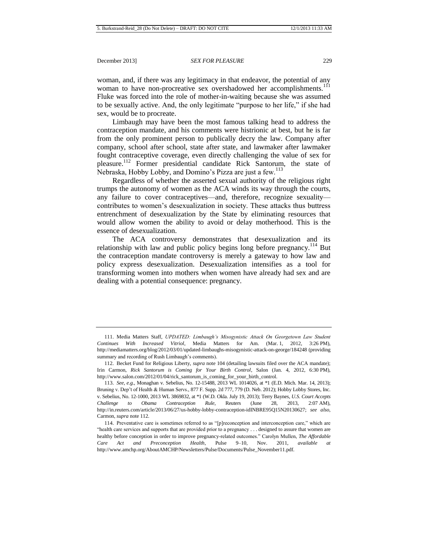woman, and, if there was any legitimacy in that endeavor, the potential of any woman to have non-procreative sex overshadowed her accomplishments.<sup>111</sup> Fluke was forced into the role of mother-in-waiting because she was assumed to be sexually active. And, the only legitimate "purpose to her life," if she had sex, would be to procreate.

Limbaugh may have been the most famous talking head to address the contraception mandate, and his comments were histrionic at best, but he is far from the only prominent person to publically decry the law. Company after company, school after school, state after state, and lawmaker after lawmaker fought contraceptive coverage, even directly challenging the value of sex for pleasure. <sup>112</sup> Former presidential candidate Rick Santorum, the state of Nebraska, Hobby Lobby, and Domino's Pizza are just a few.<sup>113</sup>

<span id="page-19-0"></span>Regardless of whether the asserted sexual authority of the religious right trumps the autonomy of women as the ACA winds its way through the courts, any failure to cover contraceptives—and, therefore, recognize sexuality contributes to women's desexualization in society. These attacks thus buttress entrenchment of desexualization by the State by eliminating resources that would allow women the ability to avoid or delay motherhood. This is the essence of desexualization.

The ACA controversy demonstrates that desexualization and its relationship with law and public policy begins long before pregnancy.<sup>114</sup> But the contraception mandate controversy is merely a gateway to how law and policy express desexualization. Desexualization intensifies as a tool for transforming women into mothers when women have already had sex and are dealing with a potential consequence: pregnancy.

<sup>111.</sup> Media Matters Staff, *UPDATED: Limbaugh's Misogynistic Attack On Georgetown Law Student Continues With Increased Vitriol*, Media Matters for Am. (Mar. 1, 2012, 3:26 PM), <http://mediamatters.org/blog/2012/03/01/updated-limbaughs-misogynistic-attack-on-george/184248> (providing summary and recording of Rush Limbaugh's comments).

<sup>112.</sup> Becket Fund for Religious Liberty, *supra* note 104 (detailing lawsuits filed over the ACA mandate); Irin Carmon, *Rick Santorum is Coming for Your Birth Control*, Salon (Jan. 4, 2012, 6:30 PM), http://www.salon.com/2012/01/04/rick\_santorum\_is\_coming\_for\_your\_birth\_control.

<sup>113.</sup> *See, e.g.*, Monaghan v. Sebelius, No. 12-15488, 2013 WL 1014026, at \*1 (E.D. Mich. Mar. 14, 2013); Bruning v. Dep't of Health & Human Servs., 877 F. Supp. 2d 777, 779 (D. Neb. 2012); Hobby Lobby Stores, Inc. v. Sebelius, No. 12-1000, 2013 WL 3869832, at \*1 (W.D. Okla. July 19, 2013); Terry Baynes, *U.S. Court Accepts Challenge to Obama Contraception Rule*, Reuters (June 28, 2013, 2:07 AM), http://in.reuters.com/article/2013/06/27/us-hobby-lobby-contraception-idINBRE95Q15N20130627; *see also*, Carmon, *supra* not[e 112.](#page-19-0)

<sup>114.</sup> Preventative care is sometimes referred to as "[p]reconception and interconception care," which are "health care services and supports that are provided prior to a pregnancy . . . designed to assure that women are healthy before conception in order to improve pregnancy-related outcomes." Carolyn Mullen, *The Affordable Care Act and Preconception Health*, Pulse 9–10, Nov. 2011, *available at* http://www.amchp.org/AboutAMCHP/Newsletters/Pulse/Documents/Pulse\_November11.pdf.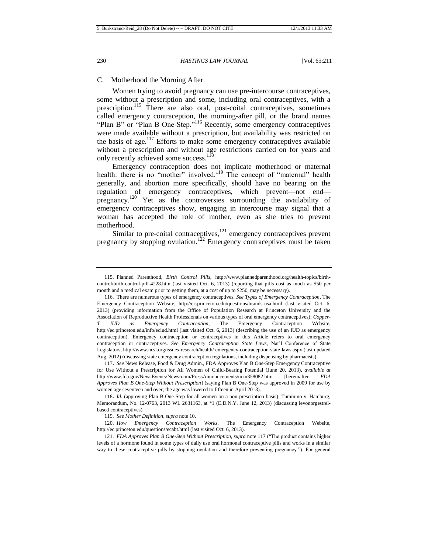## C. Motherhood the Morning After

Women trying to avoid pregnancy can use pre-intercourse contraceptives, some without a prescription and some, including oral contraceptives, with a prescription.<sup>115</sup> There are also oral, post-coital contraceptives, sometimes called emergency contraception, the morning-after pill, or the brand names "Plan B" or "Plan B One-Step."<sup>116</sup> Recently, some emergency contraceptives were made available without a prescription, but availability was restricted on the basis of age.<sup>117</sup> Efforts to make some emergency contraceptives available without a prescription and without age restrictions carried on for years and only recently achieved some success.<sup>118</sup>

<span id="page-20-0"></span>Emergency contraception does not implicate motherhood or maternal health: there is no "mother" involved.<sup>119</sup> The concept of "maternal" health generally, and abortion more specifically, should have no bearing on the regulation of emergency contraceptives, which prevent—not end pregnancy.<sup>120</sup> Yet as the controversies surrounding the availability of emergency contraceptives show, engaging in intercourse may signal that a woman has accepted the role of mother, even as she tries to prevent motherhood.

<span id="page-20-1"></span>Similar to pre-coital contraceptives, $121$  emergency contraceptives prevent pregnancy by stopping ovulation.<sup>122</sup> Emergency contraceptives must be taken

<sup>115.</sup> Planned Parenthood, *Birth Control Pills*, [http://www.plannedparenthood.org/health-topics/birth](http://www.plannedparenthood.org/health-topics/birth-control/birth-control-pill-4228.htm)[control/birth-control-pill-4228.htm](http://www.plannedparenthood.org/health-topics/birth-control/birth-control-pill-4228.htm) (last visited Oct. 6, 2013) (reporting that pills cost as much as \$50 per month and a medical exam prior to getting them, at a cost of up to \$250, may be necessary).

<sup>116.</sup> There are numerous types of emergency contraceptives. *See Types of Emergency Contraception*, The Emergency Contraception Website,<http://ec.princeton.edu/questions/brands-usa.html> (last visited Oct. 6, 2013) (providing information from the Office of Population Research at Princeton University and the Association of Reproductive Health Professionals on various types of oral emergency contraceptives); *Copper-T IUD as Emergency Contraception*, The Emergency Contraception Website, <http://ec.princeton.edu/info/eciud.html> (last visited Oct. 6, 2013) (describing the use of an IUD as emergency contraception). Emergency contraception or contraceptives in this Article refers to oral emergency contraception or contraceptives. *See Emergency Contraception State Laws*, Nat'l Conference of State Legislators, http://www.ncsl.org/issues-research/health/ emergency-contraception-state-laws.aspx (last updated Aug. 2012) (discussing state emergency contraception regulations, including dispensing by pharmacists).

<sup>117</sup>**.** *See* News Release, Food & Drug Admin., FDA Approves Plan B One-Step Emergency Contraceptive for Use Without a Prescription for All Women of Child-Bearing Potential (June 20, 2013), *available at*  <http://www.fda.gov/NewsEvents/Newsroom/PressAnnouncements/ucm358082.htm> [hereinafter *FDA Approves Plan B One-Step Without Prescription*] (saying Plan B One-Step was approved in 2009 for use by women age seventeen and over; the age was lowered to fifteen in April 2013).

<sup>118</sup>**.** *Id.* (approving Plan B One-Step for all women on a non-prescription basis); Tummino v. Hamburg, Memorandum, No. 12-0763, 2013 WL 2631163, at \*1 (E.D.N.Y. June 12, 2013) (discussing levonorgestrelbased contraceptives).

<sup>119.</sup> *See Mother Definition*, *supra* note 10.

<sup>120.</sup> *How Emergency Contraception Works*, The Emergency Contraception Website, <http://ec.princeton.edu/questions/ecabt.html> (last visited Oct. 6, 2013).

<sup>121.</sup> *FDA Approves Plan B One-Step Without Prescription*, *supra* not[e 117](#page-20-0) ("The product contains higher levels of a hormone found in some types of daily use oral hormonal contraceptive pills and works in a similar way to these contraceptive pills by stopping ovulation and therefore preventing pregnancy."). For general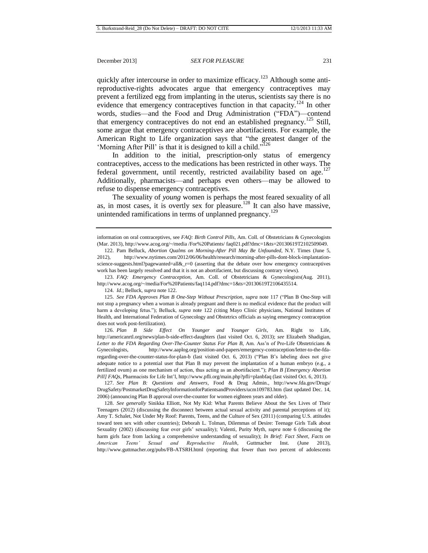quickly after intercourse in order to maximize efficacy.<sup>123</sup> Although some antireproductive-rights advocates argue that emergency contraceptives may prevent a fertilized egg from implanting in the uterus, scientists say there is no evidence that emergency contraceptives function in that capacity.<sup>124</sup> In other words, studies—and the Food and Drug Administration ("FDA")—contend that emergency contraceptives do not end an established pregnancy.<sup>125</sup> Still, some argue that emergency contraceptives are abortifacients. For example, the American Right to Life organization says that "the greatest danger of the 'Morning After Pill' is that it is designed to kill a child."<sup>126</sup>

In addition to the initial, prescription-only status of emergency contraceptives, access to the medications has been restricted in other ways. The federal government, until recently, restricted availability based on age.<sup>127</sup> Additionally, pharmacists—and perhaps even others—may be allowed to refuse to dispense emergency contraceptives.

The sexuality of *young* women is perhaps the most feared sexuality of all as, in most cases, it is overtly sex for pleasure.<sup>128</sup> It can also have massive, unintended ramifications in terms of unplanned pregnancy.<sup>129</sup>

123. *FAQ: Emergency Contraception*, Am. Coll. of Obstetricians & Gynecologists(Aug. 2011), http://www.acog.org/~/media/For%20Patients/faq114.pdf?dmc=1&ts=20130619T2106435514.

124. *Id.*; Belluck, *supra* not[e 122.](#page-20-1)

126. *Plan B Side Effect On Younger and Younger Girls*, Am. Right to Life, http://americanrtl.org/news/plan-b-side-effect-daughters (last visited Oct. 6, 2013); *see* Elizabeth Shadigian, *Letter to the FDA Regarding Over*-*The-Counter Status For Plan B*, Am. Ass'n of Pro-Life Obstetricians & Gynecologists, http://www.aaplog.org/position-and-papers/emergency-contraception/letter-to-the-fdaregarding-over-the-counter-status-for-plan-b (last visited Oct. 6, 2013) ("Plan B's labeling does not give adequate notice to a potential user that Plan B may prevent the implantation of a human embryo (e.g., a fertilized ovum) as one mechanism of action, thus acting as an abortifacient."); *Plan B [Emergency Abortion Pill] FAQs*, Pharmacists for Life Int'l, http://www.pfli.org/main.php?pfli=planbfaq (last visited Oct. 6, 2013).

127. *See Plan B: Questions and Answers*, Food & Drug Admin., http://www.fda.gov/Drugs/ DrugSafety/PostmarketDrugSafetyInformationforPatientsandProviders/ucm109783.htm (last updated Dec. 14, 2006) (announcing Plan B approval over-the-counter for women eighteen years and older).

128. *See generally* Sinikka Elliott, Not My Kid: What Parents Believe About the Sex Lives of Their Teenagers (2012) (discussing the disconnect between actual sexual activity and parental perceptions of it); Amy T. Schalet, Not Under My Roof: Parents, Teens, and the Culture of Sex (2011) (comparing U.S. attitudes toward teen sex with other countries); Deborah L. Tolman, Dilemmas of Desire: Teenage Girls Talk about Sexuality (2002) (discussing fear over girls' sexuality); Valenti, Purity Myth, *supra* note 6 (discussing the harm girls face from lacking a comprehensive understanding of sexuality); *In Brief: Fact Sheet, Facts on American Teens' Sexual and Reproductive Health*, Guttmacher Inst. (June 2013), <http://www.guttmacher.org/pubs/FB-ATSRH.html> (reporting that fewer than two percent of adolescents

information on oral contraceptives, see *FAQ: Birth Control Pills*, Am. Coll. of Obstetricians & Gynecologists (Mar. 2013), http://www.acog.org/~/media /For%20Patients/ faq021.pdf?dmc=1&ts=20130619T2102509049.

<sup>122.</sup> Pam Belluck, *Abortion Qualms on Morning-After Pill May Be Unfounded*, N.Y. Times (June 5, 2012), http://www.nytimes.com/2012/06/06/health/research/morning-after-pills-dont-block-implantationscience-suggests.html?pagewanted=all&\_r=0 (asserting that the debate over how emergency contraceptives work has been largely resolved and that it is not an abortifacient, but discussing contrary views).

<sup>125.</sup> *See FDA Approves Plan B One-Step Without Prescription*, *supra* note [117](#page-20-0) ("Plan B One-Step will not stop a pregnancy when a woman is already pregnant and there is no medical evidence that the product will harm a developing fetus."); Belluck, *supra* note [122](#page-20-1) (citing Mayo Clinic physicians, National Institutes of Health, and International Federation of Gynecology and Obstetrics officials as saying emergency contraception does not work post-fertilization).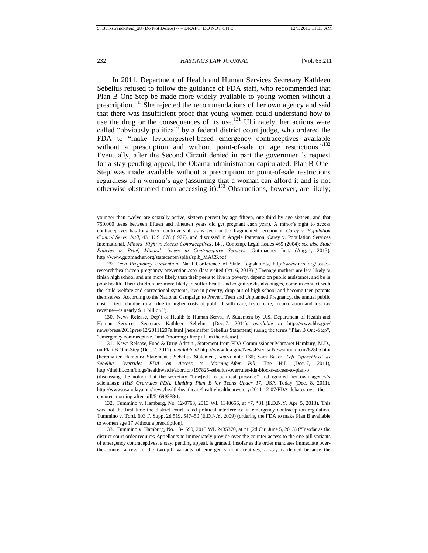<span id="page-22-1"></span><span id="page-22-0"></span>In 2011, Department of Health and Human Services Secretary Kathleen Sebelius refused to follow the guidance of FDA staff, who recommended that Plan B One-Step be made more widely available to young women without a prescription.<sup>130</sup> She rejected the recommendations of her own agency and said that there was insufficient proof that young women could understand how to use the drug or the consequences of its use.<sup>131</sup> Ultimately, her actions were called "obviously political" by a federal district court judge, who ordered the FDA to "make levonorgestrel-based emergency contraceptives available without a prescription and without point-of-sale or age restrictions."<sup>132</sup> Eventually, after the Second Circuit denied in part the government's request for a stay pending appeal, the Obama administration capitulated: Plan B One-Step was made available without a prescription or point-of-sale restrictions regardless of a woman's age (assuming that a woman can afford it and is not otherwise obstructed from accessing it).<sup>133</sup> Obstructions, however, are likely;

130. News Release, Dep't of Health & Human Servs., A Statement by U.S. Department of Health and Human Services Secretary Kathleen Sebelius (Dec. 7, 2011), *available at* [http://www.hhs.gov/](http://www.hhs.gov/news/press/2011pres/12/20111207a.html)  [news/press/2011pres/12/20111207a.html](http://www.hhs.gov/news/press/2011pres/12/20111207a.html) [hereinafter Sebelius Statement] (using the terms "Plan B One-Step", "emergency contraceptive," and "morning after pill" in the release).

131. News Release, Food & Drug Admin., Statement from FDA Commissioner Margaret Hamburg, M.D., on Plan B One-Step (Dec. 7, 2011), *available at* http://www.fda.gov/NewsEvents/ Newsroom/ucm282805.htm [hereinafter Hamburg Statement]; Sebelius Statement, *supra* note [130;](#page-22-0) Sam Baker, *Left 'Speechless' as Sebelius Overrules FDA on Access to Morning-After Pill*, The Hill (Dec. 7, 2011), <http://thehill.com/blogs/healthwatch/abortion/197825-sebelius-overrules-fda-blocks-access-to-plan-b> (discussing the notion that the secretary "bow[ed] to political pressure" and ignored her own agency's scientists); *HHS Overrules FDA, Limiting Plan B for Teens Under 17*, USA Today (Dec. 8, 2011), [http://www.usatoday.com/news/health/healthcare/health/healthcare/story/2011-12-07/FDA-debates-over-the-](http://www.usatoday.com/news/health/healthcare/health/healthcare/story/2011-12-07/FDA-debates-over-the-counter-morning-after-pill/51699388/1)

132. Tummino v. Hamburg, No. 12-0763, 2013 WL 1348656, at \*7, \*31 (E.D.N.Y. Apr. 5, 2013). This was not the first time the district court noted political interference in emergency contraception regulation. Tummino v. Torti, 603 F. Supp. 2d 519, 547–50 (E.D.N.Y. 2009) (ordering the FDA to make Plan B available to women age 17 without a prescription).

133. Tummino v. Hamburg, No. 13-1690, 2013 WL 2435370, at \*1 (2d Cir. June 5, 2013) ("Insofar as the district court order requires Appellants to immediately provide over-the-counter access to the one-pill variants of emergency contraceptives, a stay, pending appeal, is granted. Insofar as the order mandates immediate overthe-counter access to the two-pill variants of emergency contraceptives, a stay is denied because the

younger than twelve are sexually active, sixteen percent by age fifteen, one-third by age sixteen, and that 750,000 teens between fifteen and nineteen years old get pregnant each year). A minor's right to access contraceptives has long been controversial, as is seen in the fragmented decision in *Carey v. Population Control Servs. Int'l*, 431 U.S. 678 (1977), and discussed in Angela Patterson, Carey v. Population Services International*: Minors' Right to Access Contraceptives*, 14 J. Contemp. Legal Issues 469 (2004); *see also State Policies in Brief, Minors' Access to Contraceptive Services*, Guttmacher Inst. (Aug. 1, 2013), http://www.guttmacher.org/statecenter/spibs/spib\_MACS.pdf.

<sup>129.</sup> *Teen Pregnancy Prevention*, Nat'l Conference of State Legislatures, http://www.ncsl.org/issuesresearch/health/teen-pregnancy-prevention.aspx (last visited Oct. 6, 2013) ("Teenage mothers are less likely to finish high school and are more likely than their peers to live in poverty, depend on public assistance, and be in poor health. Their children are more likely to suffer health and cognitive disadvantages, come in contact with the child welfare and correctional systems, live in poverty, drop out of high school and become teen parents themselves. According to the National Campaign to Prevent Teen and Unplanned Pregnancy, the annual public cost of teen childbearing—due to higher costs of public health care, foster care, incarceration and lost tax revenue—is nearly \$11 billion.").

[counter-morning-after-pill/51699388/1.](http://www.usatoday.com/news/health/healthcare/health/healthcare/story/2011-12-07/FDA-debates-over-the-counter-morning-after-pill/51699388/1)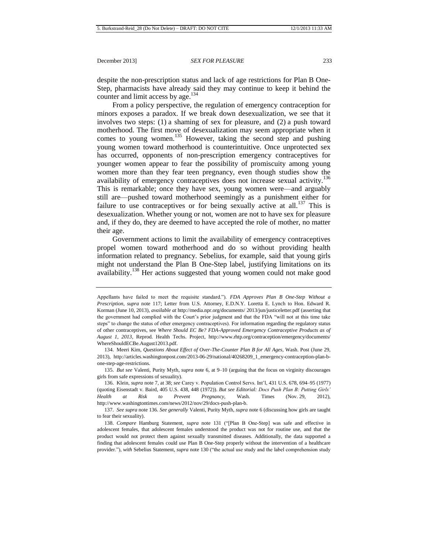despite the non-prescription status and lack of age restrictions for Plan B One-Step, pharmacists have already said they may continue to keep it behind the counter and limit access by age.<sup>134</sup>

From a policy perspective, the regulation of emergency contraception for minors exposes a paradox. If we break down desexualization, we see that it involves two steps: (1) a shaming of sex for pleasure, and (2) a push toward motherhood. The first move of desexualization may seem appropriate when it comes to young women.<sup>135</sup> However, taking the second step and pushing young women toward motherhood is counterintuitive. Once unprotected sex has occurred, opponents of non-prescription emergency contraceptives for younger women appear to fear the possibility of promiscuity among young women more than they fear teen pregnancy, even though studies show the availability of emergency contraceptives does not increase sexual activity.<sup>136</sup> This is remarkable; once they have sex, young women were—and arguably still are—pushed toward motherhood seemingly as a punishment either for failure to use contraceptives or for being sexually active at all.<sup>137</sup> This is desexualization. Whether young or not, women are not to have sex for pleasure and, if they do, they are deemed to have accepted the role of mother, no matter their age.

<span id="page-23-0"></span>Government actions to limit the availability of emergency contraceptives propel women toward motherhood and do so without providing health information related to pregnancy. Sebelius, for example, said that young girls might not understand the Plan B One-Step label, justifying limitations on its availability.<sup>138</sup> Her actions suggested that young women could not make good

Appellants have failed to meet the requisite standard."). *FDA Approves Plan B One-Step Without a Prescription*, *supra* note [117;](#page-20-0) Letter from U.S. Attorney, E.D.N.Y. Loretta E. Lynch to Hon. Edward R. Korman (June 10, 2013), *available at* http://media.npr.org/documents/ 2013/jun/justiceletter.pdf (asserting that the government had complied with the Court's prior judgment and that the FDA "will not at this time take steps" to change the status of other emergency contraceptives). For information regarding the regulatory status of other contraceptives, see *Where Should EC Be? FDA-Approved Emergency Contraceptive Products as of August 1, 2013*, Reprod. Health Techs. Project, http://www.rhtp.org/contraception/emergency/documents/ WhereShouldECBe.August12013.pdf.

<sup>134.</sup> Meeri Kim, *Questions About Effect of Over-The-Counter Plan B for All Ages*, Wash. Post (June 29, 2013), http://articles.washingtonpost.com/2013-06-29/national/40268209\_1\_emergency-contraception-plan-bone-step-age-restrictions.

<sup>135.</sup> *But see* Valenti, Purity Myth, *supra* note 6, at 9–10 (arguing that the focus on virginity discourages girls from safe expressions of sexuality).

<sup>136.</sup> Klein, *supra* note 7, at 38; *see* Carey v. Population Control Servs. Int'l, 431 U.S. 678, 694–95 (1977) (quoting Eisenstadt v. Baird, 405 U.S. 438, 448 (1972)). *But see Editorial: Docs Push Plan B: Putting Girls' Health at Risk to Prevent Pregnancy*, Wash. Times (Nov. 29, 2012), http://www.washingtontimes.com/news/2012/nov/29/docs-push-plan-b.

<sup>137.</sup> *See supra* not[e 136.](#page-23-0) *See generally* Valenti, Purity Myth, *supra* note 6 (discussing how girls are taught to fear their sexuality).

<sup>138.</sup> *Compare* Hamburg Statement, *supra* note [131](#page-22-1) ("[Plan B One-Step] was safe and effective in adolescent females, that adolescent females understood the product was not for routine use, and that the product would not protect them against sexually transmitted diseases. Additionally, the data supported a finding that adolescent females could use Plan B One-Step properly without the intervention of a healthcare provider."), *with* Sebelius Statement, *supra* note [130](#page-22-0) ("the actual use study and the label comprehension study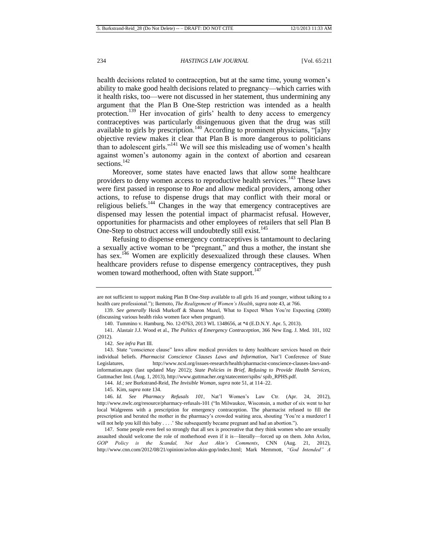<span id="page-24-0"></span>health decisions related to contraception, but at the same time, young women's ability to make good health decisions related to pregnancy—which carries with it health risks, too—were not discussed in her statement, thus undermining any argument that the Plan B One-Step restriction was intended as a health protection.<sup>139</sup> Her invocation of girls' health to deny access to emergency contraceptives was particularly disingenuous given that the drug was still available to girls by prescription.<sup>140</sup> According to prominent physicians, "[a]ny objective review makes it clear that Plan B is more dangerous to politicians than to adolescent girls."<sup>141</sup> We will see this misleading use of women's health against women's autonomy again in the context of abortion and cesarean sections.<sup>142</sup>

Moreover, some states have enacted laws that allow some healthcare providers to deny women access to reproductive health services.<sup>143</sup> These laws were first passed in response to *Roe* and allow medical providers, among other actions, to refuse to dispense drugs that may conflict with their moral or religious beliefs.<sup>144</sup> Changes in the way that emergency contraceptives are dispensed may lessen the potential impact of pharmacist refusal. However, opportunities for pharmacists and other employees of retailers that sell Plan B One-Step to obstruct access will undoubtedly still exist.<sup>145</sup>

Refusing to dispense emergency contraceptives is tantamount to declaring a sexually active woman to be "pregnant," and thus a mother, the instant she has sex.<sup>146</sup> Women are explicitly desexualized through these clauses. When healthcare providers refuse to dispense emergency contraceptives, they push women toward motherhood, often with State support.<sup>147</sup>

144. *Id.; see* Burkstrand-Reid, *The Invisible Woman*, *supra* note 51, at 114–22.

145. Kim, *supra* note 134.

are not sufficient to support making Plan B One-Step available to all girls 16 and younger, without talking to a health care professional."); Ikemoto, *The Realignment of Women's Health*, *supra* note 43, at 766.

<sup>139.</sup> *See generally* Heidi Murkoff & Sharon Mazel, What to Expect When You're Expecting (2008) (discussing various health risks women face when pregnant).

<sup>140.</sup> Tummino v. Hamburg, No. 12-0763, 2013 WL 1348656, at \*4 (E.D.N.Y. Apr. 5, 2013).

<sup>141.</sup> Alastair J.J. Wood et al., *The Politics of Emergency Contraception*, 366 New Eng. J. Med. 101, 102 (2012).

<sup>142.</sup> *See infra* Part III.

<sup>143.</sup> State "conscience clause" laws allow medical providers to deny healthcare services based on their individual beliefs. *Pharmacist Conscience Clauses Laws and Information*, Nat'l Conference of State Legislatures, [http://www.ncsl.org/issues-research/health/pharmacist-conscience-clauses-laws-and](http://www.ncsl.org/issues-research/health/pharmacist-conscience-clauses-laws-and-information.aspx)[information.aspx](http://www.ncsl.org/issues-research/health/pharmacist-conscience-clauses-laws-and-information.aspx) (last updated May 2012); *State Policies in Brief, Refusing to Provide Health Services*, Guttmacher Inst. (Aug. 1, 2013), http://www.guttmacher.org/statecenter/spibs/ spib\_RPHS.pdf.

<sup>146.</sup> *Id. See Pharmacy Refusals 101*, Nat'l Women's Law Ctr. (Apr. 24, 2012), <http://www.nwlc.org/resource/pharmacy-refusals-101> ("In Milwaukee, Wisconsin, a mother of six went to her local Walgreens with a prescription for emergency contraception. The pharmacist refused to fill the prescription and berated the mother in the pharmacy's crowded waiting area, shouting 'You're a murderer! I will not help you kill this baby . . . .' She subsequently became pregnant and had an abortion.").

<sup>147.</sup> Some people even feel so strongly that all sex is procreative that they think women who are sexually assaulted should welcome the role of motherhood even if it is—literally—forced up on them. John Avlon, *GOP Policy is the Scandal, Not Just Akin's Comments*, CNN (Aug. 21, 2012), [http://www.cnn.com/2012/08/21/opinion/avlon-akin-gop/index.html;](http://www.cnn.com/2012/08/21/opinion/avlon-akin-gop/index.html) Mark Memmott, *"God Intended" A*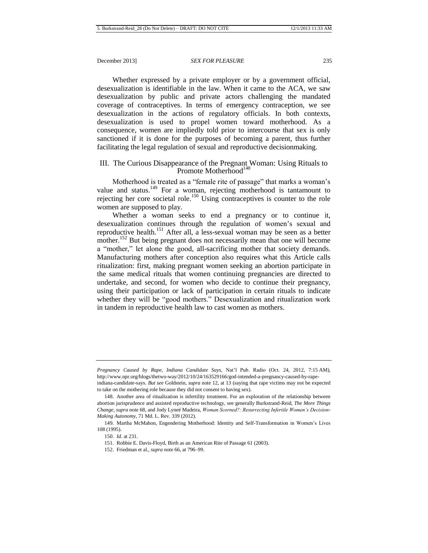Whether expressed by a private employer or by a government official, desexualization is identifiable in the law. When it came to the ACA, we saw desexualization by public and private actors challenging the mandated coverage of contraceptives. In terms of emergency contraception, we see desexualization in the actions of regulatory officials. In both contexts, desexualization is used to propel women toward motherhood. As a consequence, women are impliedly told prior to intercourse that sex is only sanctioned if it is done for the purposes of becoming a parent, thus further facilitating the legal regulation of sexual and reproductive decisionmaking.

# III. The Curious Disappearance of the Pregnant Woman: Using Rituals to Promote Motherhood<sup>148</sup>

<span id="page-25-0"></span>Motherhood is treated as a "female rite of passage" that marks a woman's value and status.<sup>149</sup> For a woman, rejecting motherhood is tantamount to rejecting her core societal role.<sup>150</sup> Using contraceptives is counter to the role women are supposed to play.

<span id="page-25-1"></span>Whether a woman seeks to end a pregnancy or to continue it, desexualization continues through the regulation of women's sexual and reproductive health.<sup>151</sup> After all, a less-sexual woman may be seen as a better mother.<sup>152</sup> But being pregnant does not necessarily mean that one will become a "mother," let alone the good, all-sacrificing mother that society demands. Manufacturing mothers after conception also requires what this Article calls ritualization: first, making pregnant women seeking an abortion participate in the same medical rituals that women continuing pregnancies are directed to undertake, and second, for women who decide to continue their pregnancy, using their participation or lack of participation in certain rituals to indicate whether they will be "good mothers." Desexualization and ritualization work in tandem in reproductive health law to cast women as mothers.

*Pregnancy Caused by Rape, Indiana Candidate Says*, Nat'l Pub. Radio (Oct. 24, 2012, 7:15 AM), http://www.npr.org/blogs/thetwo-way/2012/10/24/163529166/god-intended-a-pregnancy-caused-by-rape-

indiana-candidate-says. *But see* Goldstein, *supra* note 12, at 13 (saying that rape victims may not be expected to take on the mothering role because they did not consent to having sex).

<sup>148.</sup> Another area of ritualization is infertility treatment. For an exploration of the relationship between abortion jurisprudence and assisted reproductive technology, see generally Burkstrand-Reid, *The More Things Change*, *supra* not[e 68,](#page-13-2) and Jody Lyneé Madeira, *Woman Scorned?: Resurrecting Infertile Women's Decision-Making Autonomy*, 71 Md. L. Rev. 339 (2012).

<sup>149.</sup> Martha McMahon, Engendering Motherhood: Identity and Self-Transformation in Women's Lives 108 (1995).

<sup>150.</sup> *Id.* at 231.

<sup>151.</sup> Robbie E. Davis-Floyd, Birth as an American Rite of Passage 61 (2003).

<sup>152.</sup> Friedman et al., *supra* not[e 66,](#page-13-0) at 796–99.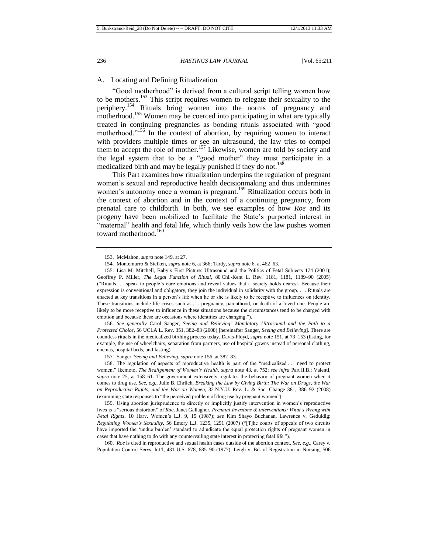# A. Locating and Defining Ritualization

<span id="page-26-0"></span>"Good motherhood" is derived from a cultural script telling women how to be mothers.<sup>153</sup> This script requires women to relegate their sexuality to the periphery.<sup>154</sup> Rituals bring women into the norms of pregnancy and motherhood.<sup>155</sup> Women may be coerced into participating in what are typically treated in continuing pregnancies as bonding rituals associated with "good motherhood."<sup>156</sup> In the context of abortion, by requiring women to interact with providers multiple times or see an ultrasound, the law tries to compel them to accept the role of mother.<sup>157</sup> Likewise, women are told by society and the legal system that to be a "good mother" they must participate in a medicalized birth and may be legally punished if they do not.<sup>158</sup>

This Part examines how ritualization underpins the regulation of pregnant women's sexual and reproductive health decisionmaking and thus undermines women's autonomy once a woman is pregnant.<sup>159</sup> Ritualization occurs both in the context of abortion and in the context of a continuing pregnancy, from prenatal care to childbirth. In both, we see examples of how *Roe* and its progeny have been mobilized to facilitate the State's purported interest in "maternal" health and fetal life, which thinly veils how the law pushes women toward motherhood.<sup>160</sup>

156. *See generally* Carol Sanger, *Seeing and Believing: Mandatory Ultrasound and the Path to a Protected Choice*, 56 UCLA L. Rev. 351, 382–83 (2008) [hereinafter Sanger, *Seeing and Believing*]. There are countless rituals in the medicalized birthing process today. Davis-Floyd, *supra* not[e 151,](#page-25-1) at 73–153 (listing, for example, the use of wheelchairs, separation from partners, use of hospital gowns instead of personal clothing, enemas, hospital beds, and fasting).

157. Sanger, *Seeing and Believing*, *supra* note 156, at 382–83.

158. The regulation of aspects of reproductive health is part of the "medicalized . . . need to protect women." Ikemoto, *The Realignment of Women's Health*, *supra* note 43, at 752; *see infra* Part II.B.; Valenti, *supra* note 25, at 158–61. The government extensively regulates the behavior of pregnant women when it comes to drug use. *See, e.g.*, Julie B. Ehrlich, *Breaking the Law by Giving Birth: The War on Drugs, the War on Reproductive Rights, and the War on Women*, 32 N.Y.U. Rev. L. & Soc. Change 381, 386–92 (2008) (examining state responses to "the perceived problem of drug use by pregnant women").

159. Using abortion jurisprudence to directly or implicitly justify intervention in women's reproductive lives is a "serious distortion" of *Roe*. Janet Gallagher, *Prenatal Invasions & Interventions: What's Wrong with Fetal Rights*, 10 Harv. Women's L.J. 9, 15 (1987); *see* Kim Shayo Buchanan, Lawrence v. Geduldig: *Regulating Women's Sexuality*, 56 Emory L.J. 1235, 1291 (2007) ("[T]he courts of appeals of two circuits have imported the 'undue burden' standard to adjudicate the equal protection rights of pregnant women in cases that have nothing to do with any countervailing state interest in protecting fetal life.").

160. *Roe* is cited in reproductive and sexual health cases outside of the abortion context. *See, e.g.*, Carey v. Population Control Servs. Int'l, 431 U.S. 678, 685–90 (1977); Leigh v. Bd. of Registration in Nursing, 506

<span id="page-26-1"></span><sup>153.</sup> McMahon, *supra* note [149,](#page-25-0) at 27.

<sup>154.</sup> Montemurro & Siefken, *supra* note 6, at 366; Tardy, *supra* note 6, at 462–63.

<sup>155.</sup> Lisa M. Mitchell, Baby's First Picture: Ultrasound and the Politics of Fetal Subjects 174 (2001); Geoffrey P. Miller, *The Legal Function of Ritual*, 80 Chi.-Kent L. Rev. 1181, 1181, 1189–90 (2005) ("Rituals . . . speak to people's core emotions and reveal values that a society holds dearest. Because their expression is conventional and obligatory, they join the individual in solidarity with the group. . . . Rituals are enacted at key transitions in a person's life when he or she is likely to be receptive to influences on identity. These transitions include life crises such as . . . pregnancy, parenthood, or death of a loved one. People are likely to be more receptive to influence in these situations because the circumstances tend to be charged with emotion and because these are occasions where identities are changing.").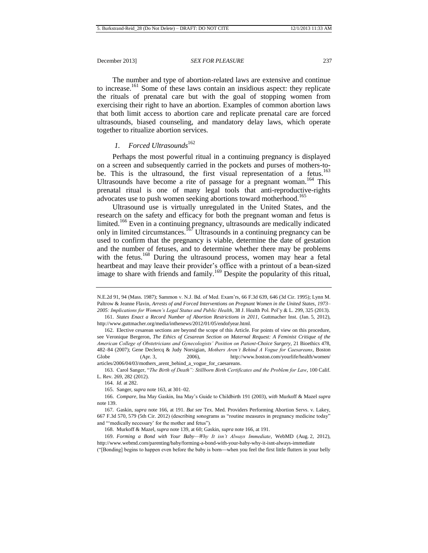The number and type of abortion-related laws are extensive and continue to increase.<sup>161</sup> Some of these laws contain an insidious aspect: they replicate the rituals of prenatal care but with the goal of stopping women from exercising their right to have an abortion. Examples of common abortion laws that both limit access to abortion care and replicate prenatal care are forced ultrasounds, biased counseling, and mandatory delay laws, which operate together to ritualize abortion services.

# <span id="page-27-2"></span><span id="page-27-0"></span>*1. Forced Ultrasounds*<sup>162</sup>

Perhaps the most powerful ritual in a continuing pregnancy is displayed on a screen and subsequently carried in the pockets and purses of mothers-tobe. This is the ultrasound, the first visual representation of a fetus.<sup>163</sup> Ultrasounds have become a rite of passage for a pregnant woman.<sup>164</sup> This prenatal ritual is one of many legal tools that anti-reproductive-rights advocates use to push women seeking abortions toward motherhood.<sup>165</sup>

<span id="page-27-1"></span>Ultrasound use is virtually unregulated in the United States, and the research on the safety and efficacy for both the pregnant woman and fetus is limited.<sup>166</sup> Even in a continuing pregnancy, ultrasounds are medically indicated only in limited circumstances.<sup>167</sup> Ultrasounds in a continuing pregnancy can be used to confirm that the pregnancy is viable, determine the date of gestation and the number of fetuses, and to determine whether there may be problems with the fetus.<sup>168</sup> During the ultrasound process, women may hear a fetal heartbeat and may leave their provider's office with a printout of a bean-sized image to share with friends and family.<sup>169</sup> Despite the popularity of this ritual,

163. Carol Sanger, "*The Birth of Death": Stillborn Birth Certificates and the Problem for Law*, 100 Calif. L. Rev. 269, 282 (2012).

167*.* Gaskin, *supra* not[e 166,](#page-27-1) at 191. *But see* Tex. Med. Providers Performing Abortion Servs. v. Lakey, 667 F.3d 570, 579 (5th Cir. 2012) (describing sonograms as "routine measures in pregnancy medicine today" and "'medically necessary' for the mother and fetus").

168. Murkoff & Mazel, *supra* not[e 139,](#page-24-0) at 60; Gaskin, *supra* not[e 166,](#page-27-1) at 191.

169. *Forming a Bond with Your Baby—Why It isn't Always Immediate*, WebMD (Aug. 2, 2012), <http://www.webmd.com/parenting/baby/forming-a-bond-with-your-baby-why-it-isnt-always-immediate>

("[Bonding] begins to happen even before the baby is bornwhen you feel the first little flutters in your belly

N.E.2d 91, 94 (Mass. 1987); Sammon v. N.J. Bd. of Med. Exam'rs, 66 F.3d 639, 646 (3d Cir. 1995); Lynn M. Paltrow & Jeanne Flavin, *Arrests of and Forced Interventions on Pregnant Women in the United States, 1973– 2005: Implications for Women's Legal Status and Public Health*, 38 J. Health Pol. Pol'y & L. 299, 325 (2013).

<sup>161.</sup> *States Enact a Record Number of Abortion Restrictions in 2011*, Guttmacher Inst. (Jan. 5, 2012), http://www.guttmacher.org/media/inthenews/2012/01/05/endofyear.html.

<sup>162.</sup> Elective cesarean sections are beyond the scope of this Article. For points of view on this procedure, see Veronique Bergeron, *The Ethics of Cesarean Section on Maternal Request: A Feminist Critique of the American College of Obstetricians and Gynecologists' Position on Patient-Choice Surgery*, 21 Bioethics 478, 482–84 (2007); [Gene Declercq & Judy Norsigian,](http://search.boston.com/local/Search.do?s.sm.query=Gene+Declercq+and+Judy+Norsigian&camp=localsearch:on:byline:art) *Mothers Aren't Behind A Vogue for Caesareans*, Boston Globe (Apr. 3, 2006), http://www.boston.com/yourlife/health/women/ articles/2006/04/03/mothers\_arent\_behind\_a\_vogue\_for\_caesareans.

<sup>164.</sup> *Id.* at 282.

<sup>165.</sup> Sanger, *supra* not[e 163,](#page-27-0) at 301–02.

<sup>166.</sup> *Compare*, Ina May Gaskin, Ina May's Guide to Childbirth 191 (2003), *with* Murkoff & Mazel *supra* not[e 139.](#page-24-0)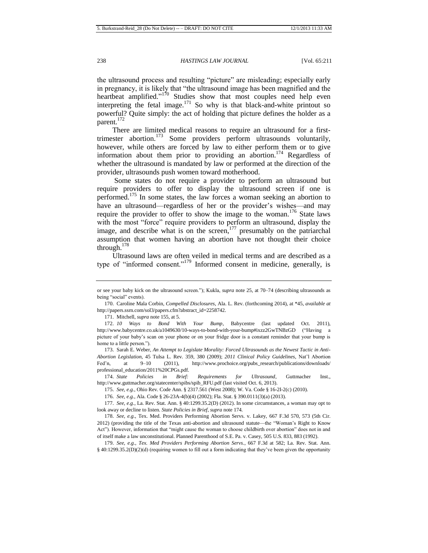the ultrasound process and resulting "picture" are misleading; especially early in pregnancy, it is likely that "the ultrasound image has been magnified and the heartbeat amplified."<sup>170</sup> Studies show that most couples need help even interpreting the fetal image.<sup>171</sup> So why is that black-and-white printout so powerful? Quite simply: the act of holding that picture defines the holder as a parent. $172$ 

<span id="page-28-0"></span>There are limited medical reasons to require an ultrasound for a firsttrimester abortion.<sup>173</sup> Some providers perform ultrasounds voluntarily, however, while others are forced by law to either perform them or to give information about them prior to providing an abortion.<sup>174</sup> Regardless of whether the ultrasound is mandated by law or performed at the direction of the provider, ultrasounds push women toward motherhood.

Some states do not require a provider to perform an ultrasound but require providers to offer to display the ultrasound screen if one is performed.<sup>175</sup> In some states, the law forces a woman seeking an abortion to have an ultrasound—regardless of her or the provider's wishes—and may require the provider to offer to show the image to the woman.<sup>176</sup> State laws with the most "force" require providers to perform an ultrasound, display the image, and describe what is on the screen, $177$  presumably on the patriarchal assumption that women having an abortion have not thought their choice through. 178

<span id="page-28-1"></span>Ultrasound laws are often veiled in medical terms and are described as a type of "informed consent."<sup>179</sup> Informed consent in medicine, generally, is

171. Mitchell, *supra* not[e 155,](#page-26-0) at 5.

173. Sarah E. Weber, *An Attempt to Legislate Morality: Forced Ultrasounds as the Newest Tactic in Anti-Abortion Legislation*, 45 Tulsa L. Rev. 359, 380 (2009); *2011 Clinical Policy Guidelines*, Nat'l Abortion Fed'n, at 9-10 (2011), http://www.prochoice.org/pubs\_research/publications/downloads/ professional\_education/2011%20CPGs.pdf.

174. *State Policies in Brief: Requirements for Ultrasound*, Guttmacher Inst., http://www.guttmacher.org/statecenter/spibs/spib\_RFU.pdf (last visited Oct. 6, 2013).

175. *See, e.g.*, Ohio Rev. Code Ann. § 2317.561 (West 2008); W. Va. Code § 16-2I-2(c) (2010).

176. *See, e.g.*, Ala. Code § 26-23A-4(b)(4) (2002); Fla. Stat. § 390.0111(3)(a) (2013).

177. *See, e.g.*, La. Rev. Stat. Ann. § 40:1299.35.2(D) (2012). In some circumstances, a woman may opt to look away or decline to listen. *State Policies in Brief*, *supra* not[e 174](#page-28-0)*.*

178. *See, e.g.*, Tex. Med. Providers Performing Abortion Servs. v. Lakey, 667 F.3d 570, 573 (5th Cir. 2012) (providing the title of the Texas anti-abortion and ultrasound statute—the "Woman's Right to Know Act"). However, information that "might cause the woman to choose childbirth over abortion" does not in and of itself make a law unconstitutional. Planned Parenthood of S.E. Pa. v. Casey, 505 U.S. 833, 883 (1992).

179. *See, e.g.*, *Tex. Med Providers Performing Abortion Servs.*, 667 F.3d at 582; La. Rev. Stat. Ann. § 40:1299.35.2(D)(2)(d) (requiring women to fill out a form indicating that they've been given the opportunity

or see your baby kick on the [ultrasound](http://www.webmd.com/a-to-z-guides/doppler-ultrasound) screen."); Kukla, *supra* note 25, at 70–74 (describing ultrasounds as being "social" events).

<sup>170.</sup> Caroline Mala Corbin, *Compelled Disclosures*, Ala. L. Rev. (forthcoming 2014), at \*45, *available at* [http://papers.ssrn.com/sol3/papers.cfm?abstract\\_id=2258742.](http://papers.ssrn.com/sol3/papers.cfm?abstract_id=2258742)

<sup>172.</sup> *10 Ways to Bond With Your Bump*, Babycentre (last updated Oct. 2011), <http://www.babycentre.co.uk/a1049630/10-ways-to-bond-with-your-bump#ixzz2GwTNBzGD> ("Having a picture of your baby's scan on your phone or on your fridge door is a constant reminder that your bump is home to a little person.").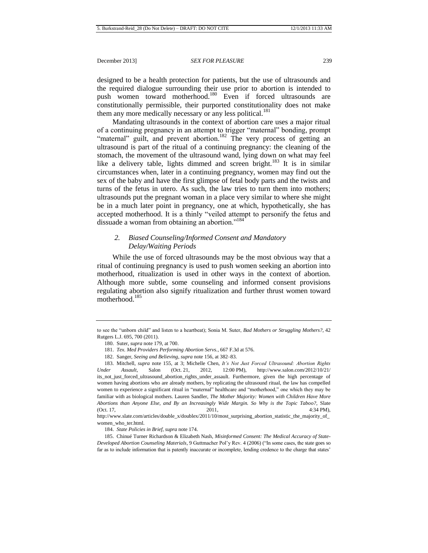designed to be a health protection for patients, but the use of ultrasounds and the required dialogue surrounding their use prior to abortion is intended to push women toward motherhood.<sup>180</sup> Even if forced ultrasounds are constitutionally permissible, their purported constitutionality does not make them any more medically necessary or any less political.<sup>181</sup>

Mandating ultrasounds in the context of abortion care uses a major ritual of a continuing pregnancy in an attempt to trigger "maternal" bonding, prompt "maternal" guilt, and prevent abortion.<sup>182</sup> The very process of getting an ultrasound is part of the ritual of a continuing pregnancy: the cleaning of the stomach, the movement of the ultrasound wand, lying down on what may feel like a delivery table, lights dimmed and screen bright.<sup>183</sup> It is in similar circumstances when, later in a continuing pregnancy, women may find out the sex of the baby and have the first glimpse of fetal body parts and the twists and turns of the fetus in utero. As such, the law tries to turn them into mothers; ultrasounds put the pregnant woman in a place very similar to where she might be in a much later point in pregnancy, one at which, hypothetically, she has accepted motherhood. It is a thinly "veiled attempt to personify the fetus and dissuade a woman from obtaining an abortion."<sup>184</sup>

# *2. Biased Counseling/Informed Consent and Mandatory Delay/Waiting Periods*

While the use of forced ultrasounds may be the most obvious way that a ritual of continuing pregnancy is used to push women seeking an abortion into motherhood, ritualization is used in other ways in the context of abortion. Although more subtle, some counseling and informed consent provisions regulating abortion also signify ritualization and further thrust women toward motherhood.<sup>185</sup>

http://www.slate.com/articles/double\_x/doublex/2011/10/most\_surprising\_abortion\_statistic\_the\_majority\_of\_ women\_who\_ter.html.

184. *State Policies in Brief*, *supra* not[e 174.](#page-28-0)

<span id="page-29-0"></span>to see the "unborn child" and listen to a heartbeat); Sonia M. Suter, *Bad Mothers or Struggling Mothers?*, 42 Rutgers L.J. 695, 700 (2011).

<sup>180.</sup> Suter, *supra* not[e 179,](#page-28-1) at 700.

<sup>181.</sup> *Tex. Med Providers Performing Abortion Servs.*, 667 F.3d at 576.

<sup>182.</sup> Sanger, *Seeing and Believing*, *supra* note 156, at 382–83.

<sup>183.</sup> Mitchell, *supra* note [155,](#page-26-0) at 3; Michelle Chen, *It's Not Just Forced Ultrasound: Abortion Rights Under Assault*, Salon (Oct. 21, 2012, 12:00 PM), http://www.salon.com/2012/10/21/ its\_not\_just\_forced\_ultrasound\_abortion\_rights\_under\_assault. Furthermore, given the high percentage of women having abortions who are already mothers, by replicating the ultrasound ritual, the law has compelled women to experience a significant ritual in "maternal" healthcare and "motherhood," one which they may be familiar with as biological mothers. Lauren Sandler, *The Mother Majority: Women with Children Have More Abortions than Anyone Else, and By an Increasingly Wide Margin. So Why is the Topic Taboo?*, Slate (Oct. 17, 2011, 2011,  $4:34 \text{ PM}$ ),

<sup>185.</sup> Chinué Turner Richardson & Elizabeth Nash, *Misinformed Consent: The Medical Accuracy of State-Developed Abortion Counseling Materials*, 9 Guttmacher Pol'y Rev. 4 (2006) ("In some cases, the state goes so far as to include information that is patently inaccurate or incomplete, lending credence to the charge that states'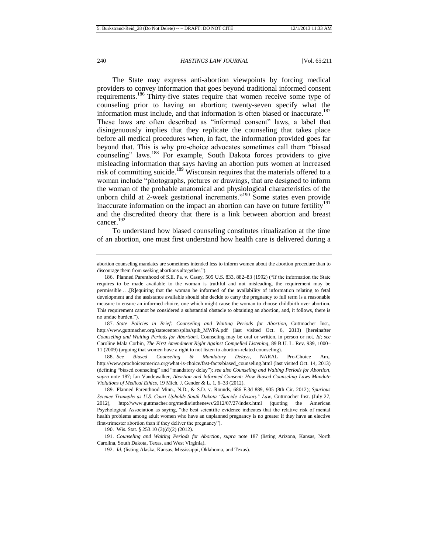<span id="page-30-1"></span><span id="page-30-0"></span>The State may express anti-abortion viewpoints by forcing medical providers to convey information that goes beyond traditional informed consent requirements.<sup>186</sup> Thirty-five states require that women receive some type of counseling prior to having an abortion; twenty-seven specify what the information must include, and that information is often biased or inaccurate.<sup>187</sup> These laws are often described as "informed consent" laws, a label that disingenuously implies that they replicate the counseling that takes place before all medical procedures when, in fact, the information provided goes far beyond that. This is why pro-choice advocates sometimes call them "biased counseling" laws.<sup>188</sup> For example, South Dakota forces providers to give misleading information that says having an abortion puts women at increased risk of committing suicide.<sup>189</sup> Wisconsin requires that the materials offered to a woman include "photographs, pictures or drawings, that are designed to inform the woman of the probable anatomical and physiological characteristics of the unborn child at 2-week gestational increments. $190$  Some states even provide inaccurate information on the impact an abortion can have on future fertility<sup>191</sup> and the discredited theory that there is a link between abortion and breast cancer. 192

To understand how biased counseling constitutes ritualization at the time of an abortion, one must first understand how health care is delivered during a

187. *State Policies in Brief: Counseling and Waiting Periods for Abortion*, Guttmacher Inst., http://www.guttmacher.org/statecenter/spibs/spib\_MWPA.pdf (last visited Oct. 6, 2013) [hereinafter *Counseling and Waiting Periods for Abortion*]. Counseling may be oral or written, in person or not. *Id*; *see* Caroline Mala Corbin, *The First Amendment Right Against Compelled Listening*, 89 B.U. L. Rev. 939, 1000– 11 (2009) (arguing that women have a right to not listen to abortion-related counseling).

188. *See Biased Counseling & Mandatory Delays*, NARAL Pro-Choice Am., http://www.prochoiceamerica.org/what-is-choice/fast-facts/biased\_counseling.html (last visited Oct. 14, 2013) (defining "biased counseling" and "mandatory delay"); *see also Counseling and Waiting Periods for Abortion*, *supra* note [187;](#page-30-0) Ian Vandewalker, *Abortion and Informed Consent: How Biased Counseling Laws Mandate Violations of Medical Ethics*, 19 Mich. J. Gender & L. 1, 6–33 (2012).

189. Planned Parenthood Minn., N.D., & S.D. v. Rounds, 686 F.3d 889, 905 (8th Cir. 2012); *Spurious Science Triumphs as U.S. Court Upholds South Dakota "Suicide Advisory" Law*, Guttmacher Inst. (July 27, 2012), http://www.guttmacher.org/media/inthenews/2012/07/27/index.html (quoting the American Psychological Association as saying, "the best scientific evidence indicates that the relative risk of mental health problems among adult women who have an unplanned pregnancy is no greater if they have an elective first-trimester abortion than if they deliver the pregnancy").

190. Wis. Stat. § 253.10 (3)(d)(2) (2012).

191. *Counseling and Waiting Periods for Abortion*, *supra* note [187](#page-30-0) (listing Arizona, Kansas, North Carolina, South Dakota, Texas, and West Virginia).

192. *Id.* (listing Alaska, Kansas, Mississippi, Oklahoma, and Texas).

abortion counseling mandates are sometimes intended less to inform women about the abortion procedure than to discourage them from seeking abortions altogether.").

<sup>186.</sup> Planned Parenthood of S.E. Pa. v. Casey, 505 U.S. 833, 882–83 (1992) ("If the information the State requires to be made available to the woman is truthful and not misleading, the requirement may be permissible . . .[R]equiring that the woman be informed of the availability of information relating to fetal development and the assistance available should she decide to carry the pregnancy to full term is a reasonable measure to ensure an informed choice, one which might cause the woman to choose childbirth over abortion. This requirement cannot be considered a substantial obstacle to obtaining an abortion, and, it follows, there is no undue burden.").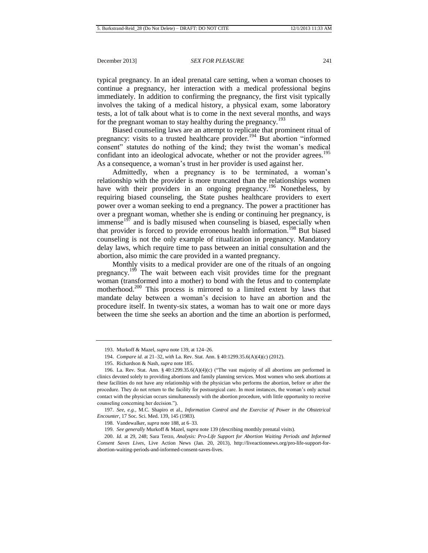typical pregnancy. In an ideal prenatal care setting, when a woman chooses to continue a pregnancy, her interaction with a medical professional begins immediately. In addition to confirming the pregnancy, the first visit typically involves the taking of a medical history, a physical exam, some laboratory tests, a lot of talk about what is to come in the next several months, and ways for the pregnant woman to stay healthy during the pregnancy.<sup>193</sup>

Biased counseling laws are an attempt to replicate that prominent ritual of pregnancy: visits to a trusted healthcare provider.<sup>194</sup> But abortion "informed consent" statutes do nothing of the kind; they twist the woman's medical confidant into an ideological advocate, whether or not the provider agrees.<sup>195</sup> As a consequence, a woman's trust in her provider is used against her.

Admittedly, when a pregnancy is to be terminated, a woman's relationship with the provider is more truncated than the relationships women have with their providers in an ongoing pregnancy.<sup>196</sup> Nonetheless, by requiring biased counseling, the State pushes healthcare providers to exert power over a woman seeking to end a pregnancy. The power a practitioner has over a pregnant woman, whether she is ending or continuing her pregnancy, is  $\mu$  immense<sup>197</sup> and is badly misused when counseling is biased, especially when that provider is forced to provide erroneous health information.<sup>198</sup> But biased counseling is not the only example of ritualization in pregnancy. Mandatory delay laws, which require time to pass between an initial consultation and the abortion, also mimic the care provided in a wanted pregnancy.

Monthly visits to a medical provider are one of the rituals of an ongoing pregnancy.<sup>199</sup> The wait between each visit provides time for the pregnant woman (transformed into a mother) to bond with the fetus and to contemplate motherhood.<sup>200</sup> This process is mirrored to a limited extent by laws that mandate delay between a woman's decision to have an abortion and the procedure itself. In twenty-six states, a woman has to wait one or more days between the time she seeks an abortion and the time an abortion is performed,

197. *See, e.g.*, M.C. Shapiro et al., *Information Control and the Exercise of Power in the Obstetrical Encounter*, 17 Soc. Sci. Med. 139, 145 (1983).

198. Vandewalker, *supra* not[e 188,](#page-30-1) at 6–33.

199*. See generally* Murkoff & Mazel, *supra* not[e 139](#page-24-0) (describing monthly prenatal visits).

200. *Id.* at 29, 248; Sara Terzo, *Analysis: Pro-Life Support for Abortion Waiting Periods and Informed Consent Saves Lives*, Live Action News (Jan. 20, 2013), http://liveactionnews.org/pro-life-support-forabortion-waiting-periods-and-informed-consent-saves-lives.

<sup>193.</sup> Murkoff & Mazel, *supra* not[e 139,](#page-24-0) at 124–26.

<sup>194.</sup> *Compare id.* at 21–32, *with* La. Rev. Stat. Ann. § 40:1299.35.6(A)(4)(c) (2012).

<sup>195.</sup> Richardson & Nash, *supra* not[e 185.](#page-29-0)

<sup>196.</sup> La. Rev. Stat. Ann. § 40:1299.35.6(A)(4)(c) ("The vast majority of all abortions are performed in clinics devoted solely to providing abortions and family planning services. Most women who seek abortions at these facilities do not have any relationship with the physician who performs the abortion, before or after the procedure. They do not return to the facility for postsurgical care. In most instances, the woman's only actual contact with the physician occurs simultaneously with the abortion procedure, with little opportunity to receive counseling concerning her decision.").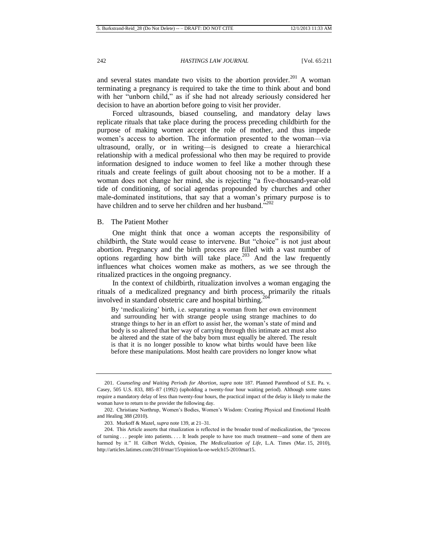and several states mandate two visits to the abortion provider.<sup>201</sup> A woman terminating a pregnancy is required to take the time to think about and bond with her "unborn child," as if she had not already seriously considered her decision to have an abortion before going to visit her provider.

Forced ultrasounds, biased counseling, and mandatory delay laws replicate rituals that take place during the process preceding childbirth for the purpose of making women accept the role of mother, and thus impede women's access to abortion. The information presented to the woman—via ultrasound, orally, or in writing—is designed to create a hierarchical relationship with a medical professional who then may be required to provide information designed to induce women to feel like a mother through these rituals and create feelings of guilt about choosing not to be a mother. If a woman does not change her mind, she is rejecting "a five-thousand-year-old tide of conditioning, of social agendas propounded by churches and other male-dominated institutions, that say that a woman's primary purpose is to have children and to serve her children and her husband."<sup>202</sup>

# B. The Patient Mother

One might think that once a woman accepts the responsibility of childbirth, the State would cease to intervene. But "choice" is not just about abortion. Pregnancy and the birth process are filled with a vast number of options regarding how birth will take place.<sup>203</sup> And the law frequently influences what choices women make as mothers, as we see through the ritualized practices in the ongoing pregnancy.

In the context of childbirth, ritualization involves a woman engaging the rituals of a medicalized pregnancy and birth process, primarily the rituals involved in standard obstetric care and hospital birthing.<sup>204</sup>

By 'medicalizing' birth, i.e. separating a woman from her own environment and surrounding her with strange people using strange machines to do strange things to her in an effort to assist her, the woman's state of mind and body is so altered that her way of carrying through this intimate act must also be altered and the state of the baby born must equally be altered. The result is that it is no longer possible to know what births would have been like before these manipulations. Most health care providers no longer know what

<sup>201.</sup> *Counseling and Waiting Periods for Abortion*, *supra* note [187.](#page-30-0) Planned Parenthood of S.E. Pa. v. Casey, 505 U.S. 833, 885–87 (1992) (upholding a twenty-four hour waiting period). Although some states require a mandatory delay of less than twenty-four hours, the practical impact of the delay is likely to make the woman have to return to the provider the following day.

<sup>202.</sup> Christiane Northrup, Women's Bodies, Women's Wisdom: Creating Physical and Emotional Health and Healing 388 (2010).

<sup>203.</sup> Murkoff & Mazel, *supra* not[e 139,](#page-24-0) at 21–31.

<sup>204.</sup> This Article asserts that ritualization is reflected in the broader trend of medicalization, the "process of turning . . . people into patients. . . . It leads people to have too much treatment—and some of them are harmed by it." H. Gilbert Welch, Opinion, *The Medicalization of Life*, L.A. Times (Mar. 15, 2010), http://articles.latimes.com/2010/mar/15/opinion/la-oe-welch15-2010mar15.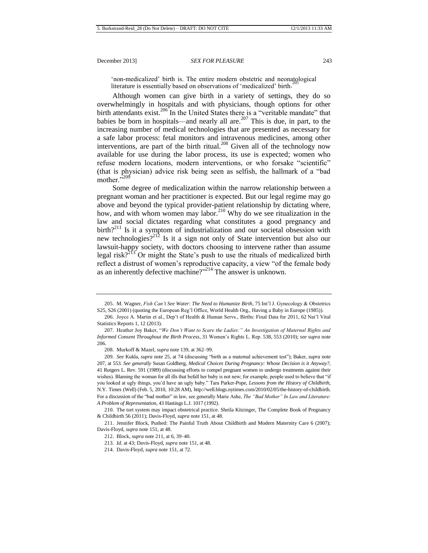<span id="page-33-3"></span><span id="page-33-2"></span><span id="page-33-0"></span>'non-medicalized' birth is. The entire modern obstetric and neonatological literature is essentially based on observations of 'medicalized' birth.

Although women can give birth in a variety of settings, they do so overwhelmingly in hospitals and with physicians, though options for other birth attendants exist.<sup>206</sup> In the United States there is a "veritable mandate" that babies be born in hospitals—and nearly all are.<sup>207</sup> This is due, in part, to the increasing number of medical technologies that are presented as necessary for a safe labor process: fetal monitors and intravenous medicines, among other interventions, are part of the birth ritual.<sup>208</sup> Given all of the technology now available for use during the labor process, its use is expected; women who refuse modern locations, modern interventions, or who forsake "scientific" (that is physician) advice risk being seen as selfish, the hallmark of a "bad mother."209

<span id="page-33-1"></span>Some degree of medicalization within the narrow relationship between a pregnant woman and her practitioner is expected. But our legal regime may go above and beyond the typical provider-patient relationship by dictating where, how, and with whom women may labor.<sup>210</sup> Why do we see ritualization in the law and social dictates regarding what constitutes a good pregnancy and  $\text{birth}$ <sup>211</sup> Is it a symptom of industrialization and our societal obsession with new technologies?<sup>212</sup> Is it a sign not only of State intervention but also our lawsuit-happy society, with doctors choosing to intervene rather than assume legal risk?<sup>213</sup> Or might the State's push to use the rituals of medicalized birth reflect a distrust of women's reproductive capacity, a view "of the female body as an inherently defective machine?"<sup>214</sup> The answer is unknown.

209. *See* Kukla, *supra* note 25, at 74 (discussing "birth as a maternal achievement test"); Baker, *supra* note [207,](#page-33-0) at 553. *See generally* Susan Goldberg, *Medical Choices During Pregnancy: Whose Decision is it Anyway?*, 41 Rutgers L. Rev. 591 (1989) (discussing efforts to compel pregnant women to undergo treatments against their wishes). Blaming the woman for all ills that befall her baby is not new; for example, people used to believe that "if you looked at ugly things, you'd have an ugly baby." Tara Parker-Pope, *Lessons from the History of Childbirth*, N.Y. Times (Well) (Feb. 5, 2010, 10:28 AM)[, http://well.blogs.nytimes.com/2010/02/05/the-history-of-childbirth.](http://well.blogs.nytimes.com/2010/02/05/the-history-of-childbirth/)  For a discussion of the "bad mother" in law, see generally Marie Ashe, *The "Bad Mother" In Law and Literature: A Problem of Representation*, 43 Hastings L.J. 1017 (1992).

<sup>205.</sup> M. Wagner, *Fish Can't See Water: The Need to Humanize Birth*, 75 Int'l J. Gynecology & Obstetrics S25, S26 (2001) (quoting the European Reg'l Office, World Health Org., Having a Baby in Europe (1985)).

<sup>206.</sup> Joyce A. Martin et al., Dep't of Health & Human Servs., Births: Final Data for 2011, 62 Nat'l Vital Statistics Reports 1, 12 (2013).

<sup>207.</sup> Heather Joy Baker, "*We Don't Want to Scare the Ladies:" An Investigation of Maternal Rights and Informed Consent Throughout the Birth Process*, 31 Women's Rights L. Rep. 538, 553 (2010); *see supra* note 206.

<sup>208.</sup> Murkoff & Mazel, *supra* not[e 139,](#page-24-0) at 362–99.

<sup>210.</sup> The tort system may impact obstetrical practice. Sheila Kitzinger, The Complete Book of Pregnancy & Childbirth 56 (2011); Davis-Floyd, *supra* note [151,](#page-25-1) at 48.

<sup>211.</sup> Jennifer Block, Pushed: The Painful Truth About Childbirth and Modern Maternity Care 6 (2007); Davis-Floyd, *supra* not[e 151,](#page-25-1) at 48.

<sup>212.</sup> Block, *supra* not[e 211,](#page-33-1) at 6, 39–40.

<sup>213.</sup> *Id.* at 43; Davis-Floyd, *supra* not[e 151,](#page-25-1) at 48.

<sup>214.</sup> Davis-Floyd, *supra* not[e 151,](#page-25-1) at 72.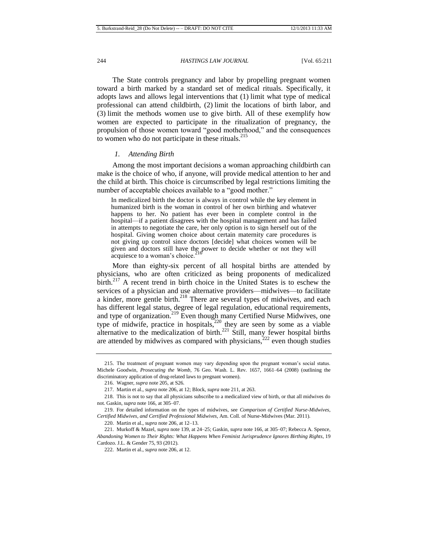The State controls pregnancy and labor by propelling pregnant women toward a birth marked by a standard set of medical rituals. Specifically, it adopts laws and allows legal interventions that (1) limit what type of medical professional can attend childbirth, (2) limit the locations of birth labor, and (3) limit the methods women use to give birth. All of these exemplify how women are expected to participate in the ritualization of pregnancy, the propulsion of those women toward "good motherhood," and the consequences to women who do not participate in these rituals. $^{215}$ 

## *1. Attending Birth*

Among the most important decisions a woman approaching childbirth can make is the choice of who, if anyone, will provide medical attention to her and the child at birth. This choice is circumscribed by legal restrictions limiting the number of acceptable choices available to a "good mother."

In medicalized birth the doctor is always in control while the key element in humanized birth is the woman in control of her own birthing and whatever happens to her. No patient has ever been in complete control in the hospital—if a patient disagrees with the hospital management and has failed in attempts to negotiate the care, her only option is to sign herself out of the hospital. Giving women choice about certain maternity care procedures is not giving up control since doctors [decide] what choices women will be given and doctors still have the power to decide whether or not they will acquiesce to a woman's choice.

More than eighty-six percent of all hospital births are attended by physicians, who are often criticized as being proponents of medicalized  $\text{birth.}^{217}$  A recent trend in birth choice in the United States is to eschew the services of a physician and use alternative providers—midwives—to facilitate a kinder, more gentle birth.<sup>218</sup> There are several types of midwives, and each has different legal status, degree of legal regulation, educational requirements, and type of organization.<sup>219</sup> Even though many Certified Nurse Midwives, one type of midwife, practice in hospitals,<sup>220</sup> they are seen by some as a viable alternative to the medicalization of birth.<sup>221</sup> Still, many fewer hospital births are attended by midwives as compared with physicians,<sup>222</sup> even though studies

<span id="page-34-0"></span><sup>215.</sup> The treatment of pregnant women may vary depending upon the pregnant woman's social status. Michele Goodwin, *Prosecuting the Womb*, 76 Geo. Wash. L. Rev. 1657, 1661–64 (2008) (outlining the discriminatory application of drug-related laws to pregnant women).

<span id="page-34-1"></span><sup>216.</sup> Wagner, *supra* not[e 205,](#page-33-2) at S26*.*

<sup>217.</sup> Martin et al., *supra* not[e 206,](#page-33-3) at 12; Block, *supra* not[e 211,](#page-33-1) at 263.

<sup>218.</sup> This is not to say that all physicians subscribe to a medicalized view of birth, or that all midwives do not. Gaskin, *supra* not[e 166,](#page-27-1) at 305–07.

<sup>219.</sup> For detailed information on the types of midwives, see *Comparison of Certified Nurse-Midwives, Certified Midwives, and Certified Professional Midwives*, Am. Coll. of Nurse-Midwives (Mar. 2011).

<sup>220.</sup> Martin et al., *supra* not[e 206,](#page-33-3) at 12–13.

<sup>221.</sup> Murkoff & Mazel, *supra* not[e 139,](#page-24-0) at 24–25; Gaskin, *supra* not[e 166,](#page-27-1) at 305–07; Rebecca A. Spence, *Abandoning Women to Their Rights: What Happens When Feminist Jurisprudence Ignores Birthing Rights*, 19 Cardozo. J.L. & Gender 75, 93 (2012).

<sup>222.</sup> Martin et al., *supra* not[e 206,](#page-33-3) at 12.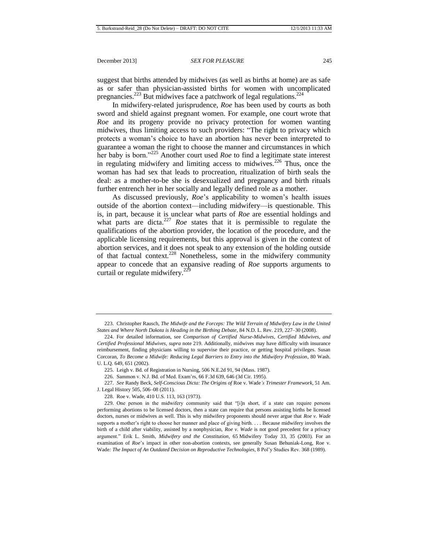suggest that births attended by midwives (as well as births at home) are as safe as or safer than physician-assisted births for women with uncomplicated pregnancies.<sup>223</sup> But midwives face a patchwork of legal regulations.<sup>224</sup>

In midwifery-related jurisprudence, *Roe* has been used by courts as both sword and shield against pregnant women. For example, one court wrote that *Roe* and its progeny provide no privacy protection for women wanting midwives, thus limiting access to such providers: "The right to privacy which protects a woman's choice to have an abortion has never been interpreted to guarantee a woman the right to choose the manner and circumstances in which her baby is born."<sup>225</sup> Another court used *Roe* to find a legitimate state interest in regulating midwifery and limiting access to midwives.<sup>226</sup> Thus, once the woman has had sex that leads to procreation, ritualization of birth seals the deal: as a mother-to-be she is desexualized and pregnancy and birth rituals further entrench her in her socially and legally defined role as a mother.

As discussed previously, *Roe*'s applicability to women's health issues outside of the abortion context—including midwifery—is questionable. This is, in part, because it is unclear what parts of *Roe* are essential holdings and what parts are dicta.<sup>227</sup> *Roe* states that it is permissible to regulate the qualifications of the abortion provider, the location of the procedure, and the applicable licensing requirements, but this approval is given in the context of abortion services, and it does not speak to any extension of the holding outside of that factual context.<sup>228</sup> Nonetheless, some in the midwifery community appear to concede that an expansive reading of *Roe* supports arguments to curtail or regulate midwifery.<sup>229</sup>

226. Sammon v. N.J. Bd. of Med. Exam'rs, 66 F.3d 639, 646 (3d Cir. 1995).

227. *See* Randy Beck, *Self-Conscious Dicta: The Origins of* Roe v. Wade*'s Trimester Framework*, 51 Am. J. Legal History 505, 506–08 (2011).

<sup>223.</sup> Christopher Rausch, *The Midwife and the Forceps: The Wild Terrain of Midwifery Law in the United States and Where North Dakota is Heading in the Birthing Debate*, 84 N.D. L. Rev. 219, 227–30 (2008).

<sup>224.</sup> For detailed information, see *Comparison of Certified Nurse-Midwives, Certified Midwives, and Certified Professional Midwives*, *supra* not[e 219.](#page-34-0) Additionally, midwives may have difficulty with insurance reimbursement, finding physicians willing to supervise their practice, or getting hospital privileges. Susan Corcoran, *To Become a Midwife: Reducing Legal Barriers to Entry into the Midwifery Profession*, 80 Wash. U. L.Q. 649, 651 (2002).

<sup>225.</sup> Leigh v. Bd. of Registration in Nursing, 506 N.E.2d 91, 94 (Mass. 1987).

<sup>228.</sup> Roe v. Wade, 410 U.S. 113, 163 (1973).

<sup>229.</sup> One person in the midwifery community said that "[i]n short, if a state can require persons performing abortions to be licensed doctors, then a state can require that persons assisting births be licensed doctors, nurses or midwives as well. This is why midwifery proponents should never argue that *Roe v. Wade* supports a mother's right to choose her manner and place of giving birth. . . . Because midwifery involves the birth of a child after viability, assisted by a nonphysician, *Roe v. Wade* is not good precedent for a privacy argument." Erik L. Smith, *Midwifery and the Constitution*, 65 Midwifery Today 33, 35 (2003). For an examination of *Roe*'s impact in other non-abortion contexts, see generally Susan Behuniak-Long, Roe v. Wade*: The Impact of An Outdated Decision on Reproductive Technologies*, 8 Pol'y Studies Rev. 368 (1989).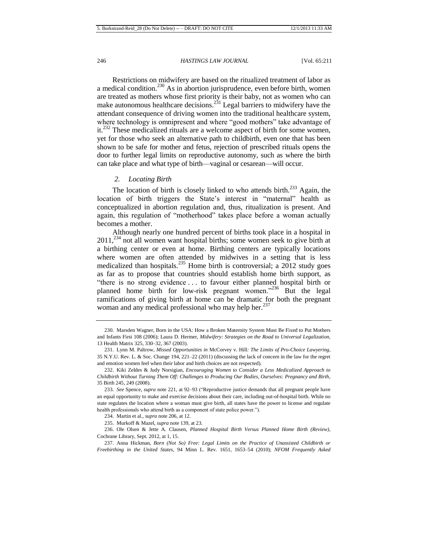Restrictions on midwifery are based on the ritualized treatment of labor as a medical condition.<sup>230</sup> As in abortion jurisprudence, even before birth, women are treated as mothers whose first priority is their baby, not as women who can make autonomous healthcare decisions.<sup>231</sup> Legal barriers to midwifery have the attendant consequence of driving women into the traditional healthcare system, where technology is omnipresent and where "good mothers" take advantage of it.<sup>232</sup> These medicalized rituals are a welcome aspect of birth for some women, yet for those who seek an alternative path to childbirth, even one that has been shown to be safe for mother and fetus, rejection of prescribed rituals opens the door to further legal limits on reproductive autonomy, such as where the birth can take place and what type of birth—vaginal or cesarean—will occur.

#### *2. Locating Birth*

The location of birth is closely linked to who attends birth.<sup>233</sup> Again, the location of birth triggers the State's interest in "maternal" health as conceptualized in abortion regulation and, thus, ritualization is present. And again, this regulation of "motherhood" takes place before a woman actually becomes a mother.

Although nearly one hundred percent of births took place in a hospital in 2011,<sup>234</sup> not all women want hospital births; some women seek to give birth at a birthing center or even at home. Birthing centers are typically locations where women are often attended by midwives in a setting that is less medicalized than hospitals.<sup>235</sup> Home birth is controversial; a  $2012$  study goes as far as to propose that countries should establish home birth support, as "there is no strong evidence . . . to favour either planned hospital birth or planned home birth for low-risk pregnant women."<sup>236</sup> But the legal ramifications of giving birth at home can be dramatic for both the pregnant woman and any medical professional who may help her. $237$ 

236. Ole Olsen & Jette A. Clausen, *Planned Hospital Birth Versus Planned Home Birth (Review)*, Cochrane Library, Sept. 2012, at 1, 15.

237. Anna Hickman, *Born (Not So) Free: Legal Limits on the Practice of Unassisted Childbirth or Freebirthing in the United States*, 94 Minn L. Rev. 1651, 1653–54 (2010); *NFOM Frequently Asked* 

<span id="page-36-0"></span><sup>230.</sup> Marsden Wagner, Born in the USA: How a Broken Maternity System Must Be Fixed to Put Mothers and Infants First 108 (2006); Laura D. Hermer, *Midwifery: Strategies on the Road to Universal Legalization*, 13 Health Matrix 325, 330–32, 367 (2003).

<sup>231.</sup> Lynn M. Paltrow, *Missed Opportunities in* McCorvey v. Hill*: The Limits of Pro-Choice Lawyering*, 35 N.Y.U. Rev. L. & Soc. Change 194, 221–22 (2011) (discussing the lack of concern in the law for the regret and emotion women feel when their labor and birth choices are not respected).

<sup>232.</sup> Kiki Zeldes & Judy Norsigian, *Encouraging Women to Consider a Less Medicalized Approach to Childbirth Without Turning Them Off: Challenges to Producing Our Bodies, Ourselves: Pregnancy and Birth*, 35 Birth 245, 249 (2008).

<sup>233.</sup> *See* Spence, *supra* not[e 221,](#page-34-1) at 92–93 ("Reproductive justice demands that all pregnant people have an equal opportunity to make and exercise decisions about their care, including out-of-hospital birth. While no state regulates the location where a woman must give birth, all states have the power to license and regulate health professionals who attend birth as a component of state police power.").

<sup>234.</sup> Martin et al., *supra* not[e 206,](#page-33-3) at 12.

<sup>235.</sup> Murkoff & Mazel, *supra* not[e 139,](#page-24-0) at 23.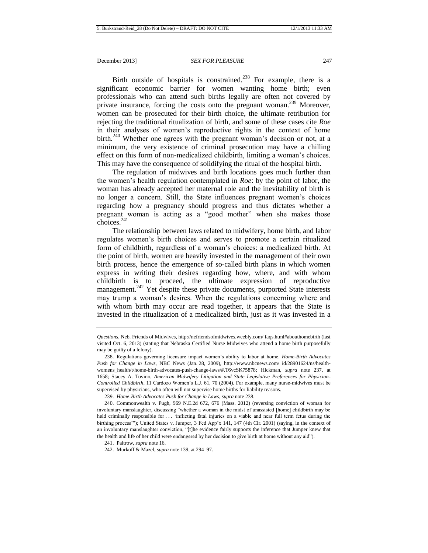<span id="page-37-0"></span>Birth outside of hospitals is constrained.<sup>238</sup> For example, there is a significant economic barrier for women wanting home birth; even professionals who can attend such births legally are often not covered by private insurance, forcing the costs onto the pregnant woman.<sup>239</sup> Moreover, women can be prosecuted for their birth choice, the ultimate retribution for rejecting the traditional ritualization of birth, and some of these cases cite *Roe*  in their analyses of women's reproductive rights in the context of home birth.<sup>240</sup> Whether one agrees with the pregnant woman's decision or not, at a minimum, the very existence of criminal prosecution may have a chilling effect on this form of non-medicalized childbirth, limiting a woman's choices. This may have the consequence of solidifying the ritual of the hospital birth.

The regulation of midwives and birth locations goes much further than the women's health regulation contemplated in *Roe*: by the point of labor, the woman has already accepted her maternal role and the inevitability of birth is no longer a concern. Still, the State influences pregnant women's choices regarding how a pregnancy should progress and thus dictates whether a pregnant woman is acting as a "good mother" when she makes those  $choice<sub>6</sub><sup>241</sup>$ 

The relationship between laws related to midwifery, home birth, and labor regulates women's birth choices and serves to promote a certain ritualized form of childbirth, regardless of a woman's choices: a medicalized birth. At the point of birth, women are heavily invested in the management of their own birth process, hence the emergence of so-called birth plans in which women express in writing their desires regarding how, where, and with whom childbirth is to proceed, the ultimate expression of reproductive management.<sup>242</sup> Yet despite these private documents, purported State interests may trump a woman's desires. When the regulations concerning where and with whom birth may occur are read together, it appears that the State is invested in the ritualization of a medicalized birth, just as it was invested in a

239. *Home-Birth Advocates Push for Change in Laws*, *supra* not[e 238.](#page-37-0)

*Questions*, Neb. Friends of Midwives, http://nefriendsofmidwives.weebly.com/ faqs.html#abouthomebirth (last visited Oct. 6, 2013) (stating that Nebraska Certified Nurse Midwives who attend a home birth purposefully may be guilty of a felony).

<sup>238.</sup> Regulations governing licensure impact women's ability to labor at home. *Home-Birth Advocates Push for Change in Laws*, NBC News (Jan. 28, 2009), http://www.nbcnews.com/ id/28901624/ns/healthwomens\_health/t/home-birth-advocates-push-change-laws/#.T6vcSK75878; Hickman, *supra* note [237,](#page-36-0) at 1658; Stacey A. Tovino, *American Midwifery Litigation and State Legislative Preferences for Physician-Controlled Childbirth*, 11 Cardozo Women's L.J. 61, 70 (2004). For example, many nurse-midwives must be supervised by physicians, who often will not supervise home births for liability reasons.

<sup>240.</sup> Commonwealth v. Pugh, 969 N.E.2d 672, 676 (Mass. 2012) (reversing conviction of woman for involuntary manslaughter, discussing "whether a woman in the midst of unassisted [home] childbirth may be held criminally responsible for . . . 'inflicting fatal injuries on a viable and near full term fetus during the birthing process'"); United States v. Jumper, 3 Fed App'x 141, 147 (4th Cir. 2001) (saying, in the context of an involuntary manslaughter conviction, "[t]he evidence fairly supports the inference that Jumper knew that the health and life of her child were endangered by her decision to give birth at home without any aid").

<sup>241.</sup> Paltrow, *supra* note 16.

<sup>242.</sup> Murkoff & Mazel, *supra* note 139, at 294–97.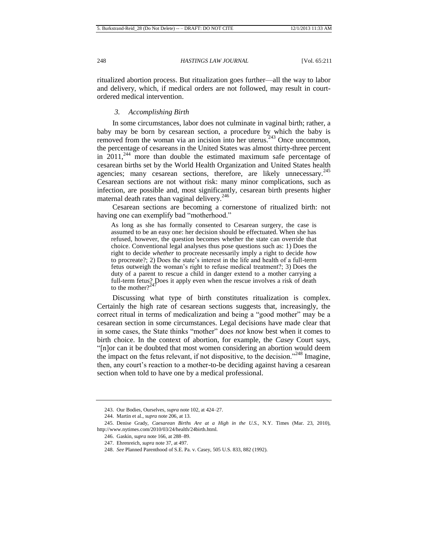ritualized abortion process. But ritualization goes further—all the way to labor and delivery, which, if medical orders are not followed, may result in courtordered medical intervention.

# *3. Accomplishing Birth*

In some circumstances, labor does not culminate in vaginal birth; rather, a baby may be born by cesarean section, a procedure by which the baby is removed from the woman via an incision into her uterus.<sup>243</sup> Once uncommon, the percentage of cesareans in the United States was almost thirty-three percent in  $2011<sup>244</sup>$  more than double the estimated maximum safe percentage of cesarean births set by the World Health Organization and United States health agencies; many cesarean sections, therefore, are likely unnecessary.<sup>245</sup> Cesarean sections are not without risk: many minor complications, such as infection, are possible and, most significantly, cesarean birth presents higher maternal death rates than vaginal delivery.<sup>246</sup>

Cesarean sections are becoming a cornerstone of ritualized birth: not having one can exemplify bad "motherhood."

As long as she has formally consented to Cesarean surgery, the case is assumed to be an easy one: her decision should be effectuated. When she has refused, however, the question becomes whether the state can override that choice. Conventional legal analyses thus pose questions such as: 1) Does the right to decide *whether* to procreate necessarily imply a right to decide *how* to procreate?; 2) Does the state's interest in the life and health of a full-term fetus outweigh the woman's right to refuse medical treatment?; 3) Does the duty of a parent to rescue a child in danger extend to a mother carrying a full-term fetus? Does it apply even when the rescue involves a risk of death to the weak of  $247$ to the mother?<sup> $\degree$ </sup>

Discussing what type of birth constitutes ritualization is complex. Certainly the high rate of cesarean sections suggests that, increasingly, the correct ritual in terms of medicalization and being a "good mother" may be a cesarean section in some circumstances. Legal decisions have made clear that in some cases, the State thinks "mother" does *not* know best when it comes to birth choice. In the context of abortion, for example, the *Casey* Court says, "[n]or can it be doubted that most women considering an abortion would deem the impact on the fetus relevant, if not dispositive, to the decision."<sup>248</sup> Imagine, then, any court's reaction to a mother-to-be deciding against having a cesarean section when told to have one by a medical professional.

<sup>243.</sup> Our Bodies, Ourselves, *supra* not[e 102,](#page-17-0) at 424–27.

<sup>244.</sup> Martin et al., *supra* not[e 206,](#page-33-3) at 13.

<sup>245.</sup> Denise Grady, *Caesarean Births Are at a High in the U.S.*, N.Y. Times (Mar. 23, 2010), http://www.nytimes.com/2010/03/24/health/24birth.html.

<sup>246.</sup> Gaskin, *supra* note [166,](#page-27-1) at 288–89.

<sup>247.</sup> Ehrenreich, *supra* note 37, at 497.

<sup>248.</sup> *See* Planned Parenthood of S.E. Pa. v. Casey, 505 U.S. 833, 882 (1992).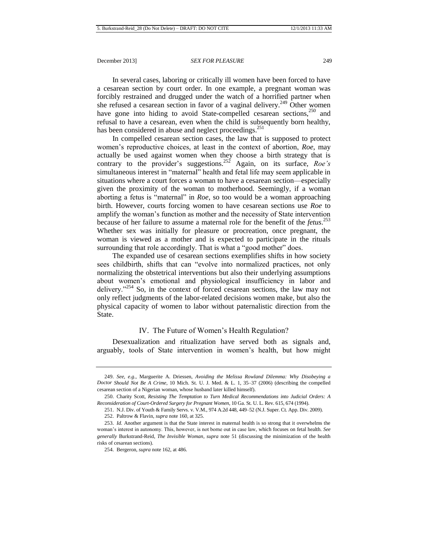In several cases, laboring or critically ill women have been forced to have a cesarean section by court order. In one example, a pregnant woman was forcibly restrained and drugged under the watch of a horrified partner when she refused a cesarean section in favor of a vaginal delivery.<sup>249</sup> Other women have gone into hiding to avoid State-compelled cesarean sections,<sup>250</sup> and refusal to have a cesarean, even when the child is subsequently born healthy, has been considered in abuse and neglect proceedings.<sup>251</sup>

In compelled cesarean section cases, the law that is supposed to protect women's reproductive choices, at least in the context of abortion, *Roe*, may actually be used against women when they choose a birth strategy that is contrary to the provider's suggestions. <sup>252</sup> Again, on its surface, *Roe's* simultaneous interest in "maternal" health and fetal life may seem applicable in situations where a court forces a woman to have a cesarean section—especially given the proximity of the woman to motherhood. Seemingly, if a woman aborting a fetus is "maternal" in *Roe*, so too would be a woman approaching birth. However, courts forcing women to have cesarean sections use *Roe* to amplify the woman's function as mother and the necessity of State intervention because of her failure to assume a maternal role for the benefit of the *fetus*. 253 Whether sex was initially for pleasure or procreation, once pregnant, the woman is viewed as a mother and is expected to participate in the rituals surrounding that role accordingly. That is what a "good mother" does.

The expanded use of cesarean sections exemplifies shifts in how society sees childbirth, shifts that can "evolve into normalized practices, not only normalizing the obstetrical interventions but also their underlying assumptions about women's emotional and physiological insufficiency in labor and delivery." $254$  So, in the context of forced cesarean sections, the law may not only reflect judgments of the labor-related decisions women make, but also the physical capacity of women to labor without paternalistic direction from the State.

# IV. The Future of Women's Health Regulation?

Desexualization and ritualization have served both as signals and, arguably, tools of State intervention in women's health, but how might

<sup>249.</sup> *See, e.g.*, Marguerite A. Driessen, *Avoiding the Melissa Rowland Dilemma: Why Disobeying a Doctor Should Not Be A Crime*, 10 Mich. St. U. J. Med. & L. 1, 35–37 (2006) (describing the compelled cesarean section of a Nigerian woman, whose husband later killed himself).

<sup>250.</sup> Charity Scott, *Resisting The Temptation to Turn Medical Recommendations into Judicial Orders: A Reconsideration of Court-Ordered Surgery for Pregnant Women*, 10 Ga. St. U. L. Rev. 615, 674 (1994).

<sup>251.</sup> N.J. Div. of Youth & Family Servs. v. V.M., 974 A.2d 448, 449–52 (N.J. Super. Ct. App. Div. 2009).

<sup>252.</sup> Paltrow & Flavin, *supra* not[e 160,](#page-26-1) at 325*.*

<sup>253.</sup> *Id.* Another argument is that the State interest in maternal health is so strong that it overwhelms the woman's interest in autonomy. This, however, is not borne out in case law, which focuses on fetal health. *See generally* Burkstrand-Reid, *The Invisible Woman*, *supra* note 51 (discussing the minimization of the health risks of cesarean sections).

<sup>254.</sup> Bergeron, *supra* not[e 162,](#page-27-2) at 486.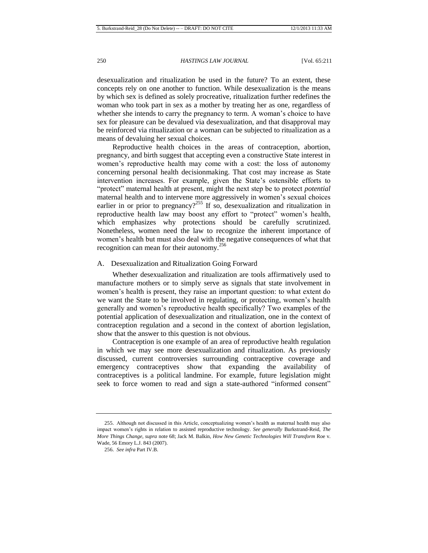desexualization and ritualization be used in the future? To an extent, these concepts rely on one another to function. While desexualization is the means by which sex is defined as solely procreative, ritualization further redefines the woman who took part in sex as a mother by treating her as one, regardless of whether she intends to carry the pregnancy to term. A woman's choice to have sex for pleasure can be devalued via desexualization, and that disapproval may be reinforced via ritualization or a woman can be subjected to ritualization as a means of devaluing her sexual choices.

Reproductive health choices in the areas of contraception, abortion, pregnancy, and birth suggest that accepting even a constructive State interest in women's reproductive health may come with a cost: the loss of autonomy concerning personal health decisionmaking. That cost may increase as State intervention increases. For example, given the State's ostensible efforts to "protect" maternal health at present, might the next step be to protect *potential* maternal health and to intervene more aggressively in women's sexual choices earlier in or prior to pregnancy?<sup>255</sup> If so, desexualization and ritualization in reproductive health law may boost any effort to "protect" women's health, which emphasizes why protections should be carefully scrutinized. Nonetheless, women need the law to recognize the inherent importance of women's health but must also deal with the negative consequences of what that recognition can mean for their autonomy.<sup>256</sup>

#### A. Desexualization and Ritualization Going Forward

Whether desexualization and ritualization are tools affirmatively used to manufacture mothers or to simply serve as signals that state involvement in women's health is present, they raise an important question: to what extent do we want the State to be involved in regulating, or protecting, women's health generally and women's reproductive health specifically? Two examples of the potential application of desexualization and ritualization, one in the context of contraception regulation and a second in the context of abortion legislation, show that the answer to this question is not obvious.

Contraception is one example of an area of reproductive health regulation in which we may see more desexualization and ritualization. As previously discussed, current controversies surrounding contraceptive coverage and emergency contraceptives show that expanding the availability of contraceptives is a political landmine. For example, future legislation might seek to force women to read and sign a state-authored "informed consent"

<sup>255.</sup> Although not discussed in this Article, conceptualizing women's health as maternal health may also impact women's rights in relation to assisted reproductive technology. *See generally* Burkstrand-Reid, *The More Things Change*, *supra* not[e 68;](#page-13-2) Jack M. Balkin, *How New Genetic Technologies Will Transform* Roe v. Wade, 56 Emory L.J. 843 (2007).

<sup>256.</sup> *See infra* Part IV.B.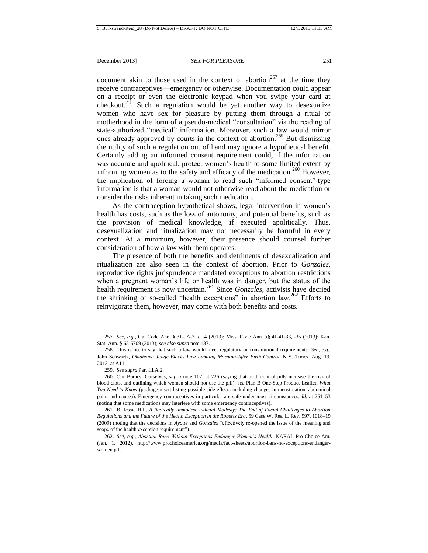document akin to those used in the context of abortion<sup>257</sup> at the time they receive contraceptives—emergency or otherwise. Documentation could appear on a receipt or even the electronic keypad when you swipe your card at checkout.<sup>258</sup> Such a regulation would be yet another way to desexualize women who have sex for pleasure by putting them through a ritual of motherhood in the form of a pseudo-medical "consultation" via the reading of state-authorized "medical" information. Moreover, such a law would mirror ones already approved by courts in the context of abortion.<sup>259</sup> But dismissing the utility of such a regulation out of hand may ignore a hypothetical benefit. Certainly adding an informed consent requirement could, if the information was accurate and apolitical, protect women's health to some limited extent by informing women as to the safety and efficacy of the medication.<sup>260</sup> However, the implication of forcing a woman to read such "informed consent"-type information is that a woman would not otherwise read about the medication or consider the risks inherent in taking such medication.

As the contraception hypothetical shows, legal intervention in women's health has costs, such as the loss of autonomy, and potential benefits, such as the provision of medical knowledge, if executed apolitically. Thus, desexualization and ritualization may not necessarily be harmful in every context. At a minimum, however, their presence should counsel further consideration of how a law with them operates.

The presence of both the benefits and detriments of desexualization and ritualization are also seen in the context of abortion. Prior to *Gonzales*, reproductive rights jurisprudence mandated exceptions to abortion restrictions when a pregnant woman's life or health was in danger, but the status of the health requirement is now uncertain.<sup>261</sup> Since *Gonzales*, activists have decried the shrinking of so-called "health exceptions" in abortion law.<sup>262</sup> Efforts to reinvigorate them, however, may come with both benefits and costs.

261. B. Jessie Hill, *A Radically Immodest Judicial Modesty: The End of Facial Challenges to Abortion Regulations and the Future of the Health Exception in the Roberts Era*, 59 Case W. Res. L. Rev. 997, 1018–19 (2009) (noting that the decisions in *Ayotte* and *Gonzales* "effectively re-opened the issue of the meaning and scope of the health exception requirement").

262. *See, e.g.*, *Abortion Bans Without Exceptions Endanger Women's Health*, NARAL Pro-Choice Am. (Jan. 1, 2012), http://www.prochoiceamerica.org/media/fact-sheets/abortion-bans-no-exceptions-endangerwomen.pdf.

<sup>257.</sup> *See, e.g.*, Ga. Code Ann. § 31-9A-3 to -4 (2013); Miss. Code Ann. §§ 41-41-33, -35 (2013); Kan. Stat. Ann. § 65-6709 (2013); *see also supra* note 187.

<sup>258.</sup> This is not to say that such a law would meet regulatory or constitutional requirements. *See, e.g.*, John Schwartz, *Oklahoma Judge Blocks Law Limiting Morning-After Birth Control*, N.Y. Times, Aug. 19, 2013, at A11.

<sup>259.</sup> *See supra* Part III.A.2.

<sup>260.</sup> Our Bodies, Ourselves, *supra* note [102,](#page-17-0) at 226 (saying that birth control pills increase the risk of blood clots, and outlining which women should not use the pill); *see* Plan B One-Step Product Leaflet, *What You Need to Know* (package insert listing possible side effects including changes in menstruation, abdominal pain, and nausea). Emergency contraceptives in particular are safe under most circumstances. *Id.* at 251–53 (noting that some medications may interfere with some emergency contraceptives).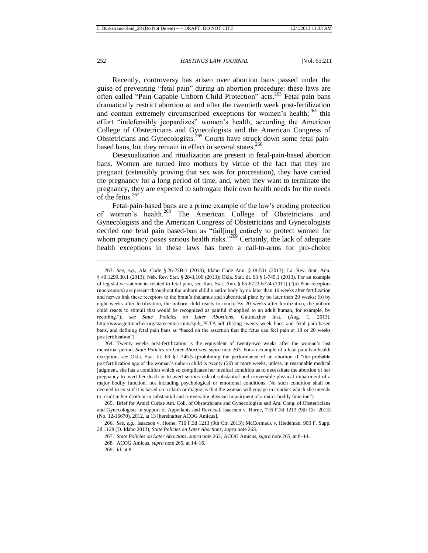<span id="page-42-0"></span>Recently, controversy has arisen over abortion bans passed under the guise of preventing "fetal pain" during an abortion procedure: these laws are often called "Pain-Capable Unborn Child Protection" acts.<sup>263</sup> Fetal pain bans dramatically restrict abortion at and after the twentieth week post-fertilization and contain extremely circumscribed exceptions for women's health; $^{264}$  this effort "indefensibly jeopardizes" women's health, according the American College of Obstetricians and Gynecologists and the American Congress of Obstetricians and Gynecologists.<sup>265</sup> Courts have struck down some fetal painbased bans, but they remain in effect in several states. $266$ 

<span id="page-42-1"></span>Desexualization and ritualization are present in fetal-pain-based abortion bans. Women are turned into mothers by virtue of the fact that they are pregnant (ostensibly proving that sex was for procreation), they have carried the pregnancy for a long period of time, and, when they want to terminate the pregnancy, they are expected to subrogate their own health needs for the needs of the fetus. $267$ 

Fetal-pain-based bans are a prime example of the law's eroding protection of women's health.<sup>268</sup> The American College of Obstetricians and Gynecologists and the American Congress of Obstetricians and Gynecologists decried one fetal pain based-ban as "fail[ing] entirely to protect women for whom pregnancy poses serious health risks.<sup>3269</sup> Certainly, the lack of adequate health exceptions in these laws has been a call-to-arms for pro-choice

- 267. *State Policies on Later Abortions*, *supra* note 263*;* ACOG Amicus, *supra* note 265, at 8–14.
- 268*.* ACOG Amicus, *supra* note 265, at 14–16.

<sup>263.</sup> *See, e.g.*, Ala. Code § 26-23B-1 (2013); Idaho Code Ann. § 18-501 (2013); La. Rev. Stat. Ann. § 40:1299.30.1 (2013); Neb. Rev. Stat. § 28-3,106 (2013); Okla. Stat. tit. 63 § 1-745.1 (2013). For an example of legislative statements related to fetal pain, see Kan. Stat. Ann. § 65-6722-6724 (2011) ("(a) Pain receptors (nociceptors) are present throughout the unborn child's entire body by no later than 16 weeks after fertilization and nerves link these receptors to the brain's thalamus and subcortical plate by no later than 20 weeks; (b) by eight weeks after fertilization, the unborn child reacts to touch. By 20 weeks after fertilization, the unborn child reacts to stimuli that would be recognized as painful if applied to an adult human, for example, by recoiling."); *see State Policies on Later Abortions*, Guttmacher Inst. (Aug. 1, 2013), http://www.guttmacher.org/statecenter/spibs/spib\_PLTA.pdf (listing twenty-week bans and fetal pain-based bans, and defining fetal pain bans as "based on the assertion that the fetus can feel pain at 18 or 20 weeks postfertilization").

<sup>264.</sup> Twenty weeks post-fertilization is the equivalent of twenty-two weeks after the woman's last menstrual period. *State Policies on Later Abortions*, *supra* not[e 263.](#page-42-0) For an example of a fetal pain ban health exception, *see* Okla. Stat. tit. 63 § 1-745.5 (prohibiting the performance of an abortion if "the probable postfertilization age of the woman's unborn child is twenty (20) or more weeks, unless, in reasonable medical judgment, she has a condition which so complicates her medical condition as to necessitate the abortion of her pregnancy to avert her death or to avert serious risk of substantial and irreversible physical impairment of a major bodily function, not including psychological or emotional conditions. No such condition shall be deemed to exist if it is based on a claim or diagnosis that the woman will engage in conduct which she intends to result in her death or in substantial and irreversible physical impairment of a major bodily function").

<sup>265.</sup> Brief for Amici Curiae Am. Coll. of Obstetricians and Gynecologists and Am. Cong. of Obstetricians and Gynecologists in support of Appellants and Reversal, Isaacson v. Horne, 716 F.3d 1213 (9th Cir. 2013) (No. 12-16670), 2012, at 13 [hereinafter ACOG Amicus].

<sup>266.</sup> *See, e.g.*, Isaacson v. Horne, 716 F.3d 1213 (9th Cir. 2013); McCormack v. Hiedeman, 900 F. Supp. 2d 1128 (D. Idaho 2013); *State Policies on Later Abortions*, *supra* note 263.

<sup>269.</sup> *Id.* at 8.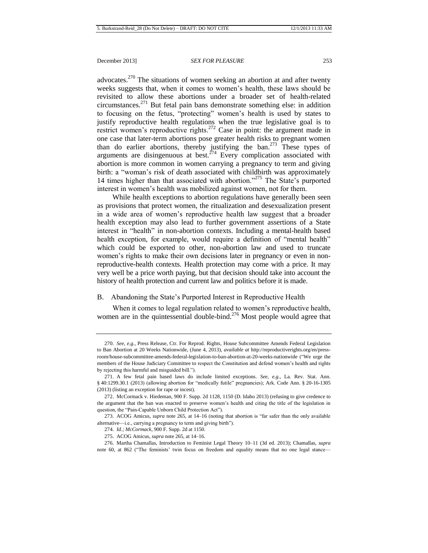advocates.<sup>270</sup> The situations of women seeking an abortion at and after twenty weeks suggests that, when it comes to women's health, these laws should be revisited to allow these abortions under a broader set of health-related circumstances.<sup>271</sup> But fetal pain bans demonstrate something else: in addition to focusing on the fetus, "protecting" women's health is used by states to justify reproductive health regulations when the true legislative goal is to restrict women's reproductive rights.<sup>272</sup> Case in point: the argument made in one case that later-term abortions pose greater health risks to pregnant women than do earlier abortions, thereby justifying the ban.<sup>273</sup> These types of arguments are disingenuous at best.<sup> $274$ </sup> Every complication associated with abortion is more common in women carrying a pregnancy to term and giving birth: a "woman's risk of death associated with childbirth was approximately 14 times higher than that associated with abortion."<sup>275</sup> The State's purported interest in women's health was mobilized against women, not for them.

While health exceptions to abortion regulations have generally been seen as provisions that protect women, the ritualization and desexualization present in a wide area of women's reproductive health law suggest that a broader health exception may also lead to further government assertions of a State interest in "health" in non-abortion contexts. Including a mental-health based health exception, for example, would require a definition of "mental health" which could be exported to other, non-abortion law and used to truncate women's rights to make their own decisions later in pregnancy or even in nonreproductive-health contexts. Health protection may come with a price. It may very well be a price worth paying, but that decision should take into account the history of health protection and current law and politics before it is made.

# B. Abandoning the State's Purported Interest in Reproductive Health

When it comes to legal regulation related to women's reproductive health, women are in the quintessential double-bind.<sup>276</sup> Most people would agree that

<sup>270.</sup> *See, e.g.*, Press Release, Ctr. For Reprod. Rights, House Subcommittee Amends Federal Legislation to Ban Abortion at 20 Weeks Nationwide, (June 4, 2013), *available at* http://reproductiverights.org/en/pressroom/house-subcommittee-amends-federal-legislation-to-ban-abortion-at-20-weeks-nationwide ("We urge the members of the House Judiciary Committee to respect the Constitution and defend women's health and rights by rejecting this harmful and misguided bill.").

<sup>271.</sup> A few fetal pain based laws do include limited exceptions. *See, e.g.*, La. Rev. Stat. Ann. § 40:1299.30.1 (2013) (allowing abortion for "medically futile" pregnancies); Ark. Code Ann. § 20-16-1305 (2013) (listing an exception for rape or incest).

<sup>272.</sup> McCormack v. Hiedeman, 900 F. Supp. 2d 1128, 1150 (D. Idaho 2013) (refusing to give credence to the argument that the ban was enacted to preserve women's health and citing the title of the legislation in question, the "Pain-Capable Unborn Child Protection Act").

<sup>273.</sup> ACOG Amicus, *supra* not[e 265,](#page-42-1) at 14–16 (noting that abortion is "far safer than the only available alternative—i.e., carrying a pregnancy to term and giving birth").

<sup>274.</sup> *Id.; McCormack*, 900 F. Supp. 2d at 1150.

<sup>275.</sup> ACOG Amicus, *supra* not[e 265,](#page-42-1) at 14–16.

<sup>276.</sup> Martha Chamallas, Introduction to Feminist Legal Theory 10–11 (3d ed. 2013); Chamallas, *supra* note [60,](#page-12-1) at 862 ("The feminists' twin focus on freedom and equality means that no one legal stance—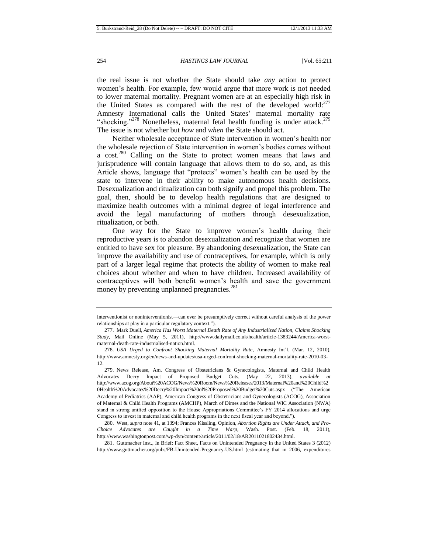the real issue is not whether the State should take *any* action to protect women's health. For example, few would argue that more work is not needed to lower maternal mortality. Pregnant women are at an especially high risk in the United States as compared with the rest of the developed world:<sup>277</sup> Amnesty International calls the United States' maternal mortality rate "shocking."<sup>278</sup> Nonetheless, maternal fetal health funding is under attack.<sup>279</sup> The issue is not whether but *how* and *when* the State should act.

Neither wholesale acceptance of State intervention in women's health nor the wholesale rejection of State intervention in women's bodies comes without a cost.<sup>280</sup> Calling on the State to protect women means that laws and jurisprudence will contain language that allows them to do so, and, as this Article shows, language that "protects" women's health can be used by the state to intervene in their ability to make autonomous health decisions. Desexualization and ritualization can both signify and propel this problem. The goal, then, should be to develop health regulations that are designed to maximize health outcomes with a minimal degree of legal interference and avoid the legal manufacturing of mothers through desexualization, ritualization, or both.

One way for the State to improve women's health during their reproductive years is to abandon desexualization and recognize that women are entitled to have sex for pleasure. By abandoning desexualization, the State can improve the availability and use of contraceptives, for example, which is only part of a larger legal regime that protects the ability of women to make real choices about whether and when to have children. Increased availability of contraceptives will both benefit women's health and save the government money by preventing unplanned pregnancies.<sup>281</sup>

interventionist or noninterventionist—can ever be presumptively correct without careful analysis of the power relationships at play in a particular regulatory context.").

<sup>277.</sup> Mark Duell, *America Has Worst Maternal Death Rate of Any Industrialized Nation, Claims Shocking Study*, Mail Online (May 5, 2011), http://www.dailymail.co.uk/health/article-1383244/America-worstmaternal-death-rate-industrialised-nation.html.

<sup>278.</sup> *USA Urged to Confront Shocking Maternal Mortality Rate*, Amnesty Int'l. (Mar. 12, 2010), http://www.amnesty.org/en/news-and-updates/usa-urged-confront-shocking-maternal-mortality-rate-2010-03- 12.

<sup>279.</sup> News Release, Am. Congress of Obstetricians & Gynecologists, Maternal and Child Health Advocates Decry Impact of Proposed Budget Cuts, (May 22, 2013), *available at*  http://www.acog.org/About%20ACOG/News%20Room/News%20Releases/2013/Maternal%20and%20Child%2 0Health%20Advocates%20Decry%20Impact%20of%20Proposed%20Budget%20Cuts.aspx ("The American Academy of Pediatrics (AAP), American Congress of Obstetricians and Gynecologists (ACOG), Association of Maternal & Child Health Programs (AMCHP), March of Dimes and the National WIC Association (NWA) stand in strong unified opposition to the House Appropriations Committee's FY 2014 allocations and urge Congress to invest in maternal and child health programs in the next fiscal year and beyond.").

<sup>280.</sup> West, *supra* note 41, at 1394; Frances Kissling, Opinion, *Abortion Rights are Under Attack, and Pro-Choice Advocates are Caught in a Time Warp*, Wash. Post. (Feb. 18, 2011), http://www.washingtonpost.com/wp-dyn/content/article/2011/02/18/AR2011021802434.html.

<sup>281.</sup> Guttmacher Inst., In Brief: Fact Sheet, Facts on Unintended Pregnancy in the United States 3 (2012) http://www.guttmacher.org/pubs/FB-Unintended-Pregnancy-US.html (estimating that in 2006, expenditures